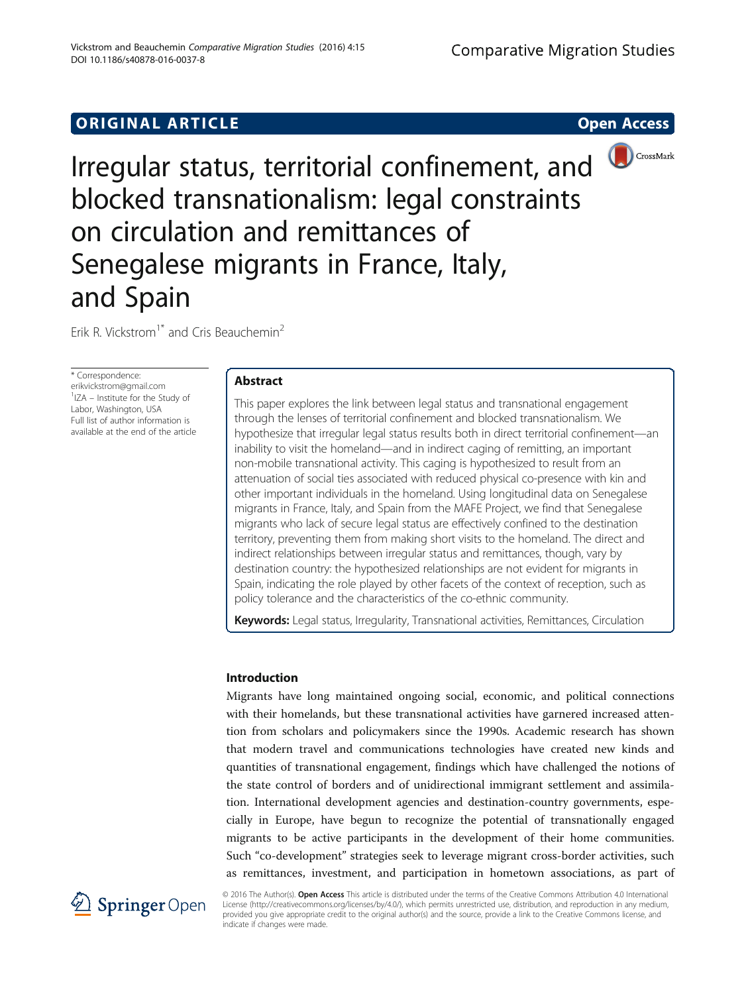# **ORIGINAL ARTICLE CONSUMING A LIGACION** CONSUMING A LIGACION CONSUMING A LIGACION CONSUMING A LIGACION CONSUMING A LIGACION CONSUMING A LIGACION CONSUMING A LIGACION CONSUMING A LIGACION CONSUMING A LIGACION CONSUMING A



Irregular status, territorial confinement, and blocked transnationalism: legal constraints on circulation and remittances of Senegalese migrants in France, Italy, and Spain

Erik R. Vickstrom<sup>1\*</sup> and Cris Beauchemin<sup>2</sup>

\* Correspondence: [erikvickstrom@gmail.com](mailto:erikvickstrom@gmail.com) <sup>1</sup>IZA – Institute for the Study of Labor, Washington, USA Full list of author information is available at the end of the article

# Abstract

This paper explores the link between legal status and transnational engagement through the lenses of territorial confinement and blocked transnationalism. We hypothesize that irregular legal status results both in direct territorial confinement—an inability to visit the homeland—and in indirect caging of remitting, an important non-mobile transnational activity. This caging is hypothesized to result from an attenuation of social ties associated with reduced physical co-presence with kin and other important individuals in the homeland. Using longitudinal data on Senegalese migrants in France, Italy, and Spain from the MAFE Project, we find that Senegalese migrants who lack of secure legal status are effectively confined to the destination territory, preventing them from making short visits to the homeland. The direct and indirect relationships between irregular status and remittances, though, vary by destination country: the hypothesized relationships are not evident for migrants in Spain, indicating the role played by other facets of the context of reception, such as policy tolerance and the characteristics of the co-ethnic community.

Keywords: Legal status, Irregularity, Transnational activities, Remittances, Circulation

# Introduction

Migrants have long maintained ongoing social, economic, and political connections with their homelands, but these transnational activities have garnered increased attention from scholars and policymakers since the 1990s. Academic research has shown that modern travel and communications technologies have created new kinds and quantities of transnational engagement, findings which have challenged the notions of the state control of borders and of unidirectional immigrant settlement and assimilation. International development agencies and destination-country governments, especially in Europe, have begun to recognize the potential of transnationally engaged migrants to be active participants in the development of their home communities. Such "co-development" strategies seek to leverage migrant cross-border activities, such as remittances, investment, and participation in hometown associations, as part of



© 2016 The Author(s). Open Access This article is distributed under the terms of the Creative Commons Attribution 4.0 International License [\(http://creativecommons.org/licenses/by/4.0/](http://creativecommons.org/licenses/by/4.0/)), which permits unrestricted use, distribution, and reproduction in any medium, provided you give appropriate credit to the original author(s) and the source, provide a link to the Creative Commons license, and indicate if changes were made.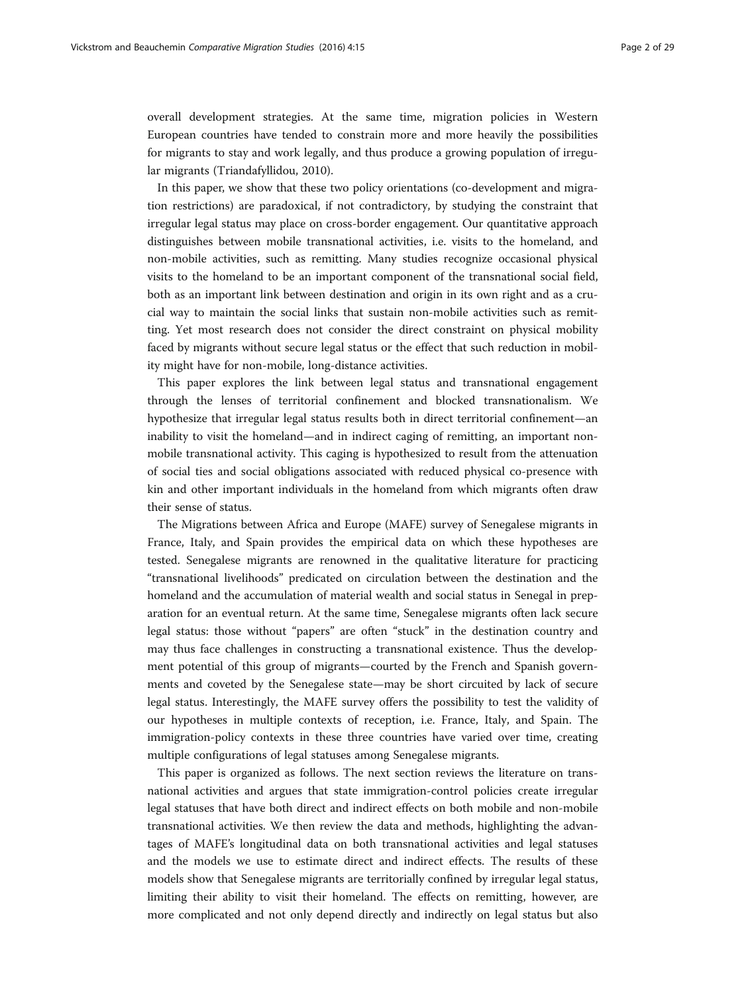overall development strategies. At the same time, migration policies in Western European countries have tended to constrain more and more heavily the possibilities for migrants to stay and work legally, and thus produce a growing population of irregular migrants (Triandafyllidou, [2010\)](#page-27-0).

In this paper, we show that these two policy orientations (co-development and migration restrictions) are paradoxical, if not contradictory, by studying the constraint that irregular legal status may place on cross-border engagement. Our quantitative approach distinguishes between mobile transnational activities, i.e. visits to the homeland, and non-mobile activities, such as remitting. Many studies recognize occasional physical visits to the homeland to be an important component of the transnational social field, both as an important link between destination and origin in its own right and as a crucial way to maintain the social links that sustain non-mobile activities such as remitting. Yet most research does not consider the direct constraint on physical mobility faced by migrants without secure legal status or the effect that such reduction in mobility might have for non-mobile, long-distance activities.

This paper explores the link between legal status and transnational engagement through the lenses of territorial confinement and blocked transnationalism. We hypothesize that irregular legal status results both in direct territorial confinement—an inability to visit the homeland—and in indirect caging of remitting, an important nonmobile transnational activity. This caging is hypothesized to result from the attenuation of social ties and social obligations associated with reduced physical co-presence with kin and other important individuals in the homeland from which migrants often draw their sense of status.

The Migrations between Africa and Europe (MAFE) survey of Senegalese migrants in France, Italy, and Spain provides the empirical data on which these hypotheses are tested. Senegalese migrants are renowned in the qualitative literature for practicing "transnational livelihoods" predicated on circulation between the destination and the homeland and the accumulation of material wealth and social status in Senegal in preparation for an eventual return. At the same time, Senegalese migrants often lack secure legal status: those without "papers" are often "stuck" in the destination country and may thus face challenges in constructing a transnational existence. Thus the development potential of this group of migrants—courted by the French and Spanish governments and coveted by the Senegalese state—may be short circuited by lack of secure legal status. Interestingly, the MAFE survey offers the possibility to test the validity of our hypotheses in multiple contexts of reception, i.e. France, Italy, and Spain. The immigration-policy contexts in these three countries have varied over time, creating multiple configurations of legal statuses among Senegalese migrants.

This paper is organized as follows. The next section reviews the literature on transnational activities and argues that state immigration-control policies create irregular legal statuses that have both direct and indirect effects on both mobile and non-mobile transnational activities. We then review the data and methods, highlighting the advantages of MAFE's longitudinal data on both transnational activities and legal statuses and the models we use to estimate direct and indirect effects. The results of these models show that Senegalese migrants are territorially confined by irregular legal status, limiting their ability to visit their homeland. The effects on remitting, however, are more complicated and not only depend directly and indirectly on legal status but also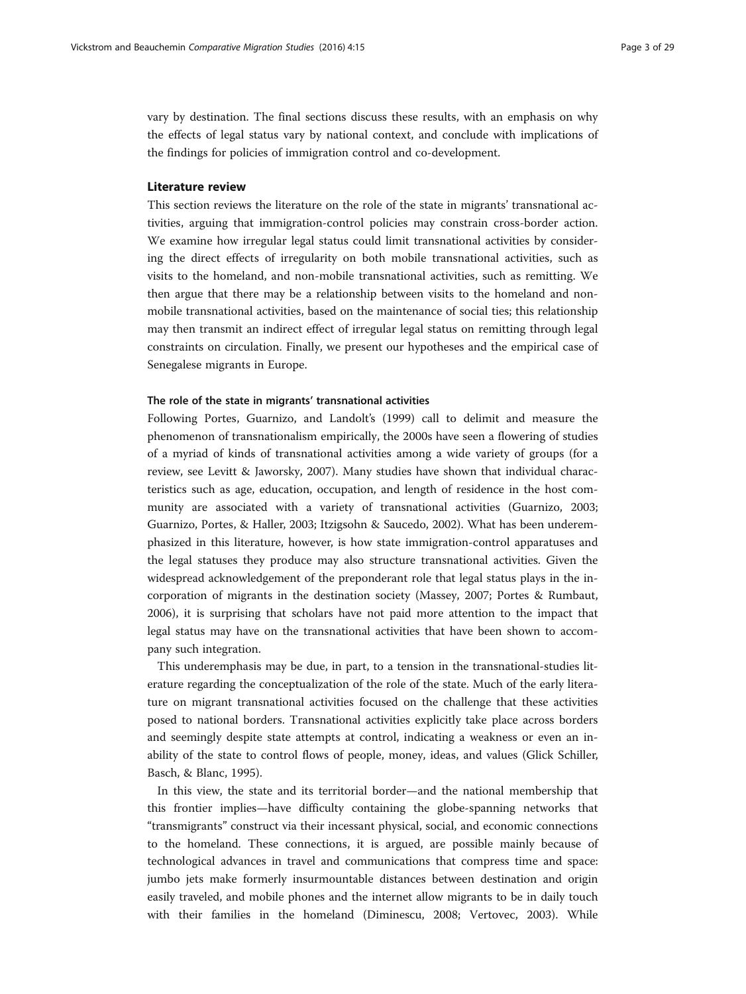vary by destination. The final sections discuss these results, with an emphasis on why the effects of legal status vary by national context, and conclude with implications of the findings for policies of immigration control and co-development.

### Literature review

This section reviews the literature on the role of the state in migrants' transnational activities, arguing that immigration-control policies may constrain cross-border action. We examine how irregular legal status could limit transnational activities by considering the direct effects of irregularity on both mobile transnational activities, such as visits to the homeland, and non-mobile transnational activities, such as remitting. We then argue that there may be a relationship between visits to the homeland and nonmobile transnational activities, based on the maintenance of social ties; this relationship may then transmit an indirect effect of irregular legal status on remitting through legal constraints on circulation. Finally, we present our hypotheses and the empirical case of Senegalese migrants in Europe.

## The role of the state in migrants' transnational activities

Following Portes, Guarnizo, and Landolt's ([1999](#page-27-0)) call to delimit and measure the phenomenon of transnationalism empirically, the 2000s have seen a flowering of studies of a myriad of kinds of transnational activities among a wide variety of groups (for a review, see Levitt & Jaworsky, [2007\)](#page-27-0). Many studies have shown that individual characteristics such as age, education, occupation, and length of residence in the host community are associated with a variety of transnational activities (Guarnizo, [2003](#page-26-0); Guarnizo, Portes, & Haller, [2003;](#page-26-0) Itzigsohn & Saucedo, [2002\)](#page-26-0). What has been underemphasized in this literature, however, is how state immigration-control apparatuses and the legal statuses they produce may also structure transnational activities. Given the widespread acknowledgement of the preponderant role that legal status plays in the incorporation of migrants in the destination society (Massey, [2007;](#page-27-0) Portes & Rumbaut, [2006](#page-27-0)), it is surprising that scholars have not paid more attention to the impact that legal status may have on the transnational activities that have been shown to accompany such integration.

This underemphasis may be due, in part, to a tension in the transnational-studies literature regarding the conceptualization of the role of the state. Much of the early literature on migrant transnational activities focused on the challenge that these activities posed to national borders. Transnational activities explicitly take place across borders and seemingly despite state attempts at control, indicating a weakness or even an inability of the state to control flows of people, money, ideas, and values (Glick Schiller, Basch, & Blanc, [1995](#page-26-0)).

In this view, the state and its territorial border—and the national membership that this frontier implies—have difficulty containing the globe-spanning networks that "transmigrants" construct via their incessant physical, social, and economic connections to the homeland. These connections, it is argued, are possible mainly because of technological advances in travel and communications that compress time and space: jumbo jets make formerly insurmountable distances between destination and origin easily traveled, and mobile phones and the internet allow migrants to be in daily touch with their families in the homeland (Diminescu, [2008;](#page-26-0) Vertovec, [2003](#page-27-0)). While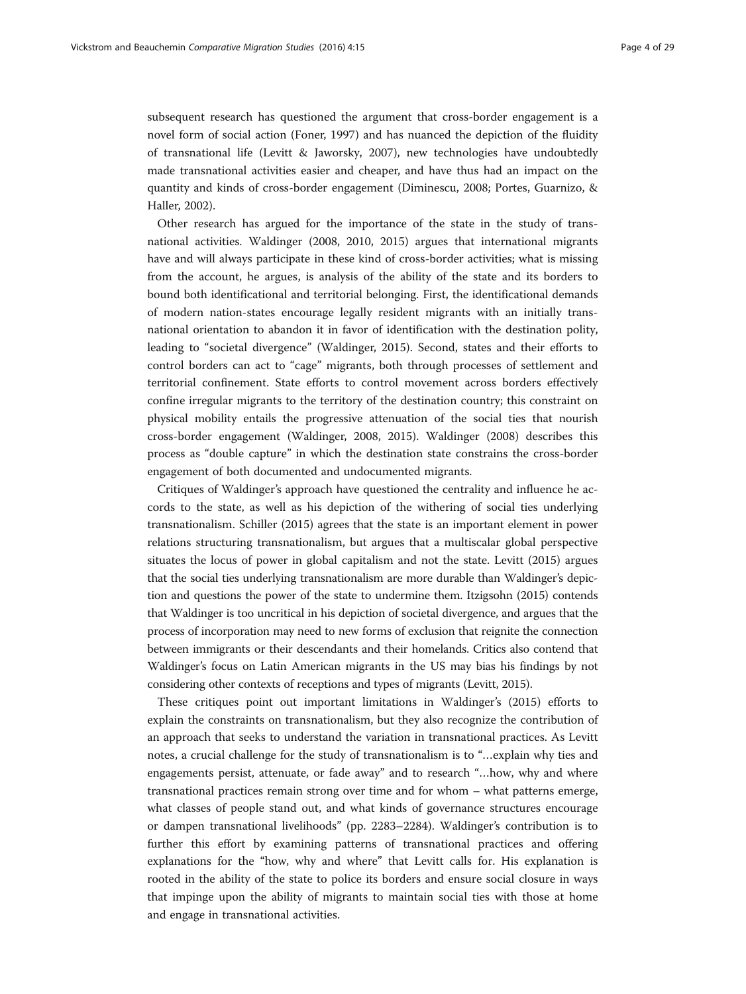subsequent research has questioned the argument that cross-border engagement is a novel form of social action (Foner, [1997\)](#page-26-0) and has nuanced the depiction of the fluidity of transnational life (Levitt & Jaworsky, [2007](#page-27-0)), new technologies have undoubtedly made transnational activities easier and cheaper, and have thus had an impact on the quantity and kinds of cross-border engagement (Diminescu, [2008;](#page-26-0) Portes, Guarnizo, & Haller, [2002\)](#page-27-0).

Other research has argued for the importance of the state in the study of transnational activities. Waldinger ([2008](#page-28-0), [2010](#page-28-0), [2015](#page-28-0)) argues that international migrants have and will always participate in these kind of cross-border activities; what is missing from the account, he argues, is analysis of the ability of the state and its borders to bound both identificational and territorial belonging. First, the identificational demands of modern nation-states encourage legally resident migrants with an initially transnational orientation to abandon it in favor of identification with the destination polity, leading to "societal divergence" (Waldinger, [2015](#page-28-0)). Second, states and their efforts to control borders can act to "cage" migrants, both through processes of settlement and territorial confinement. State efforts to control movement across borders effectively confine irregular migrants to the territory of the destination country; this constraint on physical mobility entails the progressive attenuation of the social ties that nourish cross-border engagement (Waldinger, [2008](#page-28-0), [2015](#page-28-0)). Waldinger ([2008](#page-28-0)) describes this process as "double capture" in which the destination state constrains the cross-border engagement of both documented and undocumented migrants.

Critiques of Waldinger's approach have questioned the centrality and influence he accords to the state, as well as his depiction of the withering of social ties underlying transnationalism. Schiller ([2015](#page-27-0)) agrees that the state is an important element in power relations structuring transnationalism, but argues that a multiscalar global perspective situates the locus of power in global capitalism and not the state. Levitt ([2015\)](#page-27-0) argues that the social ties underlying transnationalism are more durable than Waldinger's depiction and questions the power of the state to undermine them. Itzigsohn ([2015](#page-26-0)) contends that Waldinger is too uncritical in his depiction of societal divergence, and argues that the process of incorporation may need to new forms of exclusion that reignite the connection between immigrants or their descendants and their homelands. Critics also contend that Waldinger's focus on Latin American migrants in the US may bias his findings by not considering other contexts of receptions and types of migrants (Levitt, [2015](#page-27-0)).

These critiques point out important limitations in Waldinger's [\(2015\)](#page-28-0) efforts to explain the constraints on transnationalism, but they also recognize the contribution of an approach that seeks to understand the variation in transnational practices. As Levitt notes, a crucial challenge for the study of transnationalism is to "…explain why ties and engagements persist, attenuate, or fade away" and to research "…how, why and where transnational practices remain strong over time and for whom – what patterns emerge, what classes of people stand out, and what kinds of governance structures encourage or dampen transnational livelihoods" (pp. 2283–2284). Waldinger's contribution is to further this effort by examining patterns of transnational practices and offering explanations for the "how, why and where" that Levitt calls for. His explanation is rooted in the ability of the state to police its borders and ensure social closure in ways that impinge upon the ability of migrants to maintain social ties with those at home and engage in transnational activities.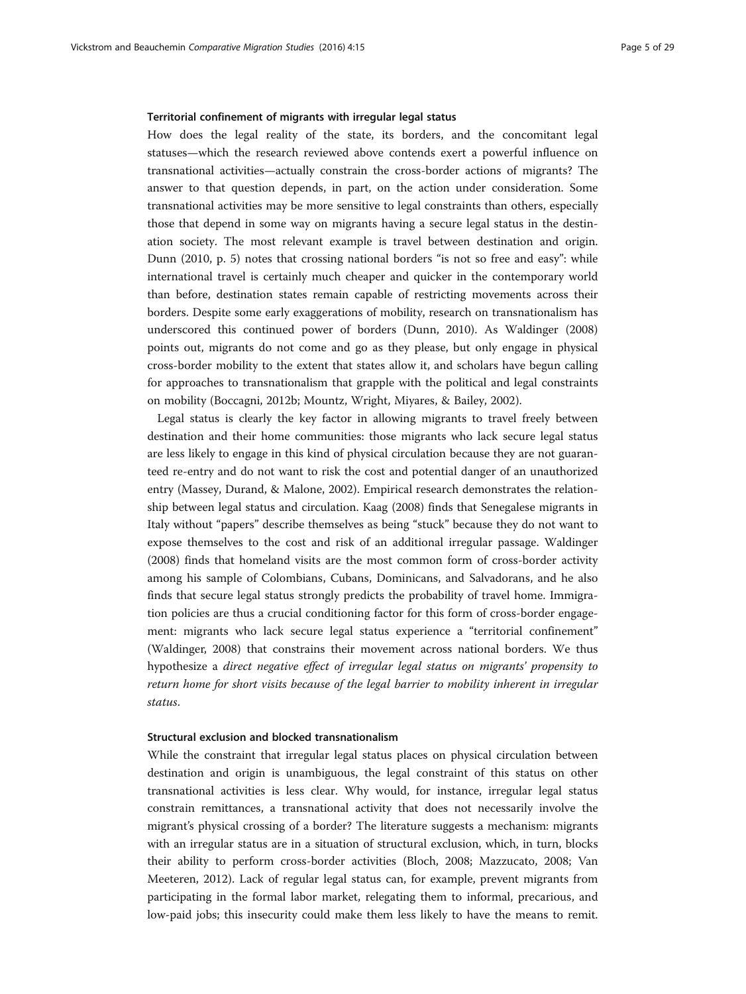### Territorial confinement of migrants with irregular legal status

How does the legal reality of the state, its borders, and the concomitant legal statuses—which the research reviewed above contends exert a powerful influence on transnational activities—actually constrain the cross-border actions of migrants? The answer to that question depends, in part, on the action under consideration. Some transnational activities may be more sensitive to legal constraints than others, especially those that depend in some way on migrants having a secure legal status in the destination society. The most relevant example is travel between destination and origin. Dunn ([2010](#page-26-0), p. 5) notes that crossing national borders "is not so free and easy": while international travel is certainly much cheaper and quicker in the contemporary world than before, destination states remain capable of restricting movements across their borders. Despite some early exaggerations of mobility, research on transnationalism has underscored this continued power of borders (Dunn, [2010\)](#page-26-0). As Waldinger ([2008](#page-28-0)) points out, migrants do not come and go as they please, but only engage in physical cross-border mobility to the extent that states allow it, and scholars have begun calling for approaches to transnationalism that grapple with the political and legal constraints on mobility (Boccagni, [2012b](#page-26-0); Mountz, Wright, Miyares, & Bailey, [2002\)](#page-27-0).

Legal status is clearly the key factor in allowing migrants to travel freely between destination and their home communities: those migrants who lack secure legal status are less likely to engage in this kind of physical circulation because they are not guaranteed re-entry and do not want to risk the cost and potential danger of an unauthorized entry (Massey, Durand, & Malone, [2002\)](#page-27-0). Empirical research demonstrates the relationship between legal status and circulation. Kaag [\(2008\)](#page-26-0) finds that Senegalese migrants in Italy without "papers" describe themselves as being "stuck" because they do not want to expose themselves to the cost and risk of an additional irregular passage. Waldinger ([2008](#page-28-0)) finds that homeland visits are the most common form of cross-border activity among his sample of Colombians, Cubans, Dominicans, and Salvadorans, and he also finds that secure legal status strongly predicts the probability of travel home. Immigration policies are thus a crucial conditioning factor for this form of cross-border engagement: migrants who lack secure legal status experience a "territorial confinement" (Waldinger, [2008](#page-28-0)) that constrains their movement across national borders. We thus hypothesize a direct negative effect of irregular legal status on migrants' propensity to return home for short visits because of the legal barrier to mobility inherent in irregular status.

### Structural exclusion and blocked transnationalism

While the constraint that irregular legal status places on physical circulation between destination and origin is unambiguous, the legal constraint of this status on other transnational activities is less clear. Why would, for instance, irregular legal status constrain remittances, a transnational activity that does not necessarily involve the migrant's physical crossing of a border? The literature suggests a mechanism: migrants with an irregular status are in a situation of structural exclusion, which, in turn, blocks their ability to perform cross-border activities (Bloch, [2008](#page-26-0); Mazzucato, [2008](#page-27-0); Van Meeteren, [2012](#page-27-0)). Lack of regular legal status can, for example, prevent migrants from participating in the formal labor market, relegating them to informal, precarious, and low-paid jobs; this insecurity could make them less likely to have the means to remit.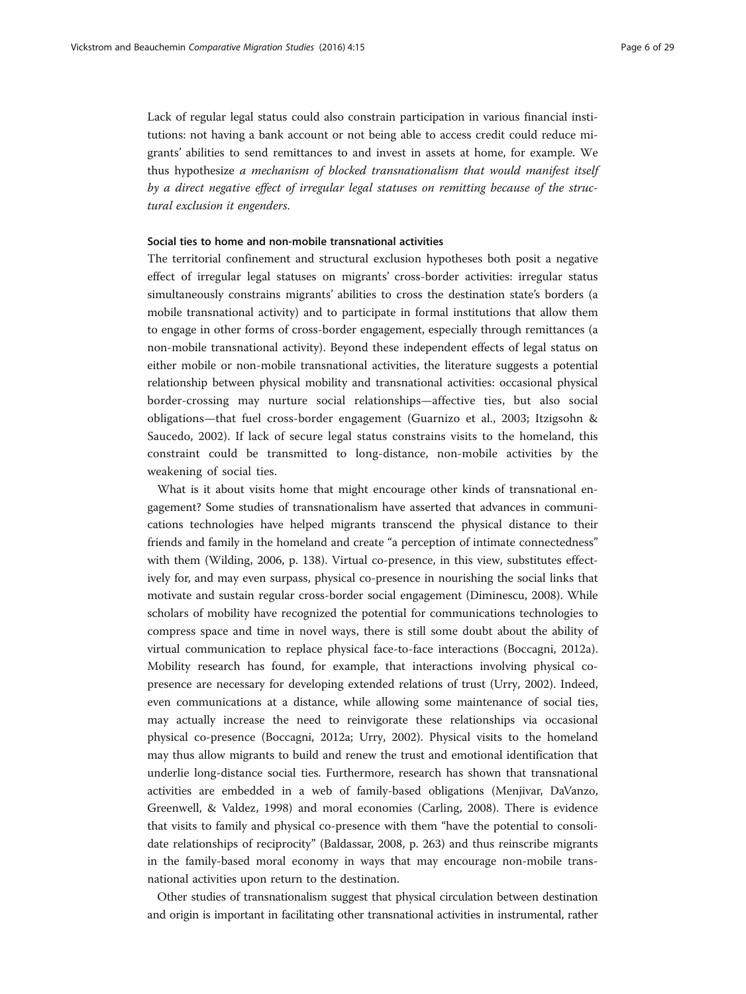Lack of regular legal status could also constrain participation in various financial institutions: not having a bank account or not being able to access credit could reduce migrants' abilities to send remittances to and invest in assets at home, for example. We thus hypothesize a mechanism of blocked transnationalism that would manifest itself by a direct negative effect of irregular legal statuses on remitting because of the structural exclusion it engenders.

### Social ties to home and non-mobile transnational activities

The territorial confinement and structural exclusion hypotheses both posit a negative effect of irregular legal statuses on migrants' cross-border activities: irregular status simultaneously constrains migrants' abilities to cross the destination state's borders (a mobile transnational activity) and to participate in formal institutions that allow them to engage in other forms of cross-border engagement, especially through remittances (a non-mobile transnational activity). Beyond these independent effects of legal status on either mobile or non-mobile transnational activities, the literature suggests a potential relationship between physical mobility and transnational activities: occasional physical border-crossing may nurture social relationships—affective ties, but also social obligations—that fuel cross-border engagement (Guarnizo et al., [2003;](#page-26-0) Itzigsohn & Saucedo, [2002](#page-26-0)). If lack of secure legal status constrains visits to the homeland, this constraint could be transmitted to long-distance, non-mobile activities by the weakening of social ties.

What is it about visits home that might encourage other kinds of transnational engagement? Some studies of transnationalism have asserted that advances in communications technologies have helped migrants transcend the physical distance to their friends and family in the homeland and create "a perception of intimate connectedness" with them (Wilding, [2006](#page-28-0), p. 138). Virtual co-presence, in this view, substitutes effectively for, and may even surpass, physical co-presence in nourishing the social links that motivate and sustain regular cross-border social engagement (Diminescu, [2008](#page-26-0)). While scholars of mobility have recognized the potential for communications technologies to compress space and time in novel ways, there is still some doubt about the ability of virtual communication to replace physical face-to-face interactions (Boccagni, [2012a](#page-26-0)). Mobility research has found, for example, that interactions involving physical copresence are necessary for developing extended relations of trust (Urry, [2002\)](#page-27-0). Indeed, even communications at a distance, while allowing some maintenance of social ties, may actually increase the need to reinvigorate these relationships via occasional physical co-presence (Boccagni, [2012a;](#page-26-0) Urry, [2002\)](#page-27-0). Physical visits to the homeland may thus allow migrants to build and renew the trust and emotional identification that underlie long-distance social ties. Furthermore, research has shown that transnational activities are embedded in a web of family-based obligations (Menjivar, DaVanzo, Greenwell, & Valdez, [1998\)](#page-27-0) and moral economies (Carling, [2008](#page-26-0)). There is evidence that visits to family and physical co-presence with them "have the potential to consolidate relationships of reciprocity" (Baldassar, [2008](#page-26-0), p. 263) and thus reinscribe migrants in the family-based moral economy in ways that may encourage non-mobile transnational activities upon return to the destination.

Other studies of transnationalism suggest that physical circulation between destination and origin is important in facilitating other transnational activities in instrumental, rather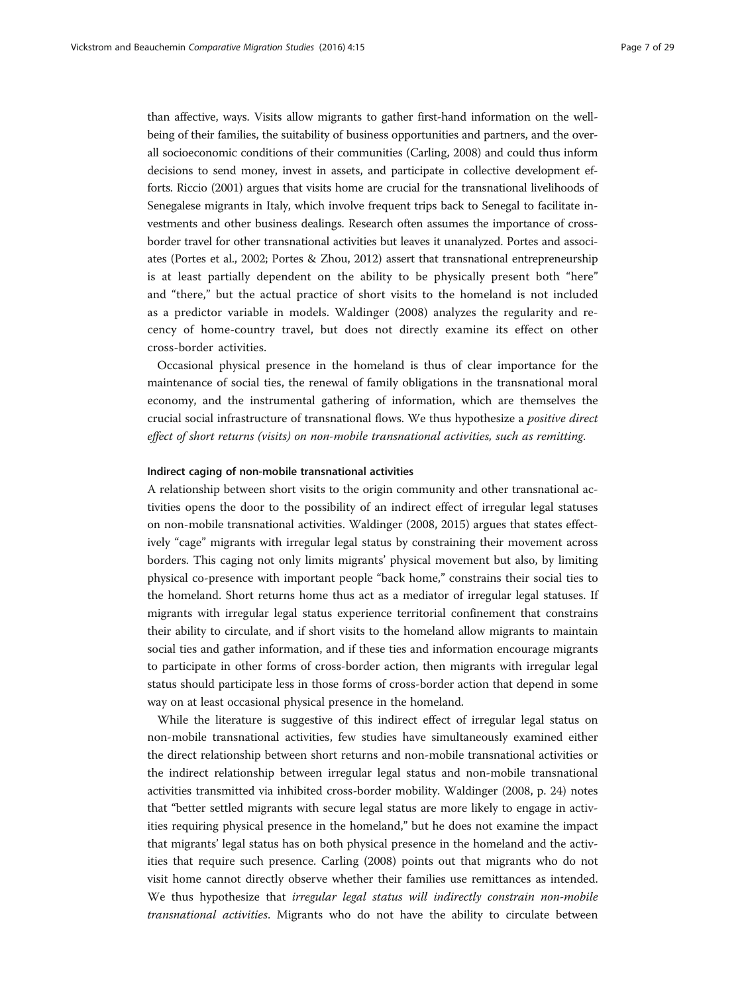than affective, ways. Visits allow migrants to gather first-hand information on the wellbeing of their families, the suitability of business opportunities and partners, and the overall socioeconomic conditions of their communities (Carling, [2008](#page-26-0)) and could thus inform decisions to send money, invest in assets, and participate in collective development efforts. Riccio ([2001\)](#page-27-0) argues that visits home are crucial for the transnational livelihoods of Senegalese migrants in Italy, which involve frequent trips back to Senegal to facilitate investments and other business dealings. Research often assumes the importance of crossborder travel for other transnational activities but leaves it unanalyzed. Portes and associates (Portes et al., [2002;](#page-27-0) Portes & Zhou, [2012](#page-27-0)) assert that transnational entrepreneurship is at least partially dependent on the ability to be physically present both "here" and "there," but the actual practice of short visits to the homeland is not included as a predictor variable in models. Waldinger ([2008\)](#page-28-0) analyzes the regularity and recency of home-country travel, but does not directly examine its effect on other cross-border activities.

Occasional physical presence in the homeland is thus of clear importance for the maintenance of social ties, the renewal of family obligations in the transnational moral economy, and the instrumental gathering of information, which are themselves the crucial social infrastructure of transnational flows. We thus hypothesize a positive direct effect of short returns (visits) on non-mobile transnational activities, such as remitting.

### Indirect caging of non-mobile transnational activities

A relationship between short visits to the origin community and other transnational activities opens the door to the possibility of an indirect effect of irregular legal statuses on non-mobile transnational activities. Waldinger ([2008](#page-28-0), [2015\)](#page-28-0) argues that states effectively "cage" migrants with irregular legal status by constraining their movement across borders. This caging not only limits migrants' physical movement but also, by limiting physical co-presence with important people "back home," constrains their social ties to the homeland. Short returns home thus act as a mediator of irregular legal statuses. If migrants with irregular legal status experience territorial confinement that constrains their ability to circulate, and if short visits to the homeland allow migrants to maintain social ties and gather information, and if these ties and information encourage migrants to participate in other forms of cross-border action, then migrants with irregular legal status should participate less in those forms of cross-border action that depend in some way on at least occasional physical presence in the homeland.

While the literature is suggestive of this indirect effect of irregular legal status on non-mobile transnational activities, few studies have simultaneously examined either the direct relationship between short returns and non-mobile transnational activities or the indirect relationship between irregular legal status and non-mobile transnational activities transmitted via inhibited cross-border mobility. Waldinger ([2008,](#page-28-0) p. 24) notes that "better settled migrants with secure legal status are more likely to engage in activities requiring physical presence in the homeland," but he does not examine the impact that migrants' legal status has on both physical presence in the homeland and the activities that require such presence. Carling ([2008](#page-26-0)) points out that migrants who do not visit home cannot directly observe whether their families use remittances as intended. We thus hypothesize that irregular legal status will indirectly constrain non-mobile transnational activities. Migrants who do not have the ability to circulate between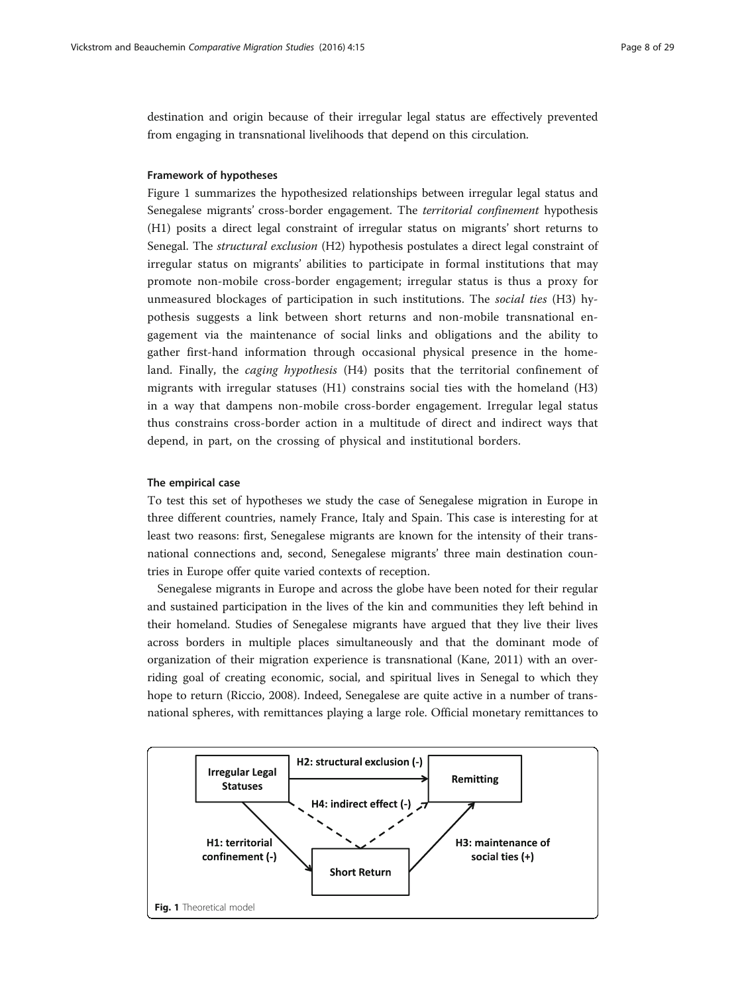<span id="page-7-0"></span>destination and origin because of their irregular legal status are effectively prevented from engaging in transnational livelihoods that depend on this circulation.

## Framework of hypotheses

Figure 1 summarizes the hypothesized relationships between irregular legal status and Senegalese migrants' cross-border engagement. The territorial confinement hypothesis (H1) posits a direct legal constraint of irregular status on migrants' short returns to Senegal. The structural exclusion (H2) hypothesis postulates a direct legal constraint of irregular status on migrants' abilities to participate in formal institutions that may promote non-mobile cross-border engagement; irregular status is thus a proxy for unmeasured blockages of participation in such institutions. The social ties (H3) hypothesis suggests a link between short returns and non-mobile transnational engagement via the maintenance of social links and obligations and the ability to gather first-hand information through occasional physical presence in the homeland. Finally, the *caging hypothesis* (H4) posits that the territorial confinement of migrants with irregular statuses (H1) constrains social ties with the homeland (H3) in a way that dampens non-mobile cross-border engagement. Irregular legal status thus constrains cross-border action in a multitude of direct and indirect ways that depend, in part, on the crossing of physical and institutional borders.

### The empirical case

To test this set of hypotheses we study the case of Senegalese migration in Europe in three different countries, namely France, Italy and Spain. This case is interesting for at least two reasons: first, Senegalese migrants are known for the intensity of their transnational connections and, second, Senegalese migrants' three main destination countries in Europe offer quite varied contexts of reception.

Senegalese migrants in Europe and across the globe have been noted for their regular and sustained participation in the lives of the kin and communities they left behind in their homeland. Studies of Senegalese migrants have argued that they live their lives across borders in multiple places simultaneously and that the dominant mode of organization of their migration experience is transnational (Kane, [2011](#page-26-0)) with an overriding goal of creating economic, social, and spiritual lives in Senegal to which they hope to return (Riccio, [2008](#page-27-0)). Indeed, Senegalese are quite active in a number of transnational spheres, with remittances playing a large role. Official monetary remittances to

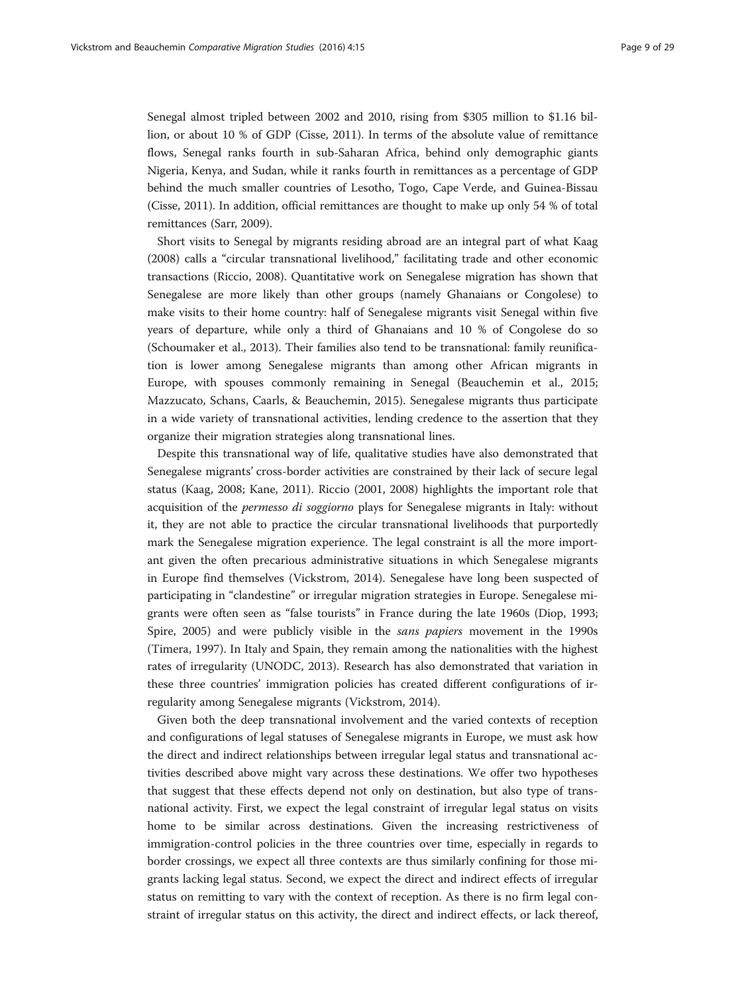Senegal almost tripled between 2002 and 2010, rising from \$305 million to \$1.16 billion, or about 10 % of GDP (Cisse, [2011](#page-26-0)). In terms of the absolute value of remittance flows, Senegal ranks fourth in sub-Saharan Africa, behind only demographic giants Nigeria, Kenya, and Sudan, while it ranks fourth in remittances as a percentage of GDP behind the much smaller countries of Lesotho, Togo, Cape Verde, and Guinea-Bissau (Cisse, [2011\)](#page-26-0). In addition, official remittances are thought to make up only 54 % of total remittances (Sarr, [2009](#page-27-0)).

Short visits to Senegal by migrants residing abroad are an integral part of what Kaag ([2008](#page-26-0)) calls a "circular transnational livelihood," facilitating trade and other economic transactions (Riccio, [2008\)](#page-27-0). Quantitative work on Senegalese migration has shown that Senegalese are more likely than other groups (namely Ghanaians or Congolese) to make visits to their home country: half of Senegalese migrants visit Senegal within five years of departure, while only a third of Ghanaians and 10 % of Congolese do so (Schoumaker et al., [2013](#page-27-0)). Their families also tend to be transnational: family reunification is lower among Senegalese migrants than among other African migrants in Europe, with spouses commonly remaining in Senegal (Beauchemin et al., [2015](#page-26-0); Mazzucato, Schans, Caarls, & Beauchemin, [2015\)](#page-27-0). Senegalese migrants thus participate in a wide variety of transnational activities, lending credence to the assertion that they organize their migration strategies along transnational lines.

Despite this transnational way of life, qualitative studies have also demonstrated that Senegalese migrants' cross-border activities are constrained by their lack of secure legal status (Kaag, [2008;](#page-26-0) Kane, [2011](#page-26-0)). Riccio ([2001, 2008\)](#page-27-0) highlights the important role that acquisition of the permesso di soggiorno plays for Senegalese migrants in Italy: without it, they are not able to practice the circular transnational livelihoods that purportedly mark the Senegalese migration experience. The legal constraint is all the more important given the often precarious administrative situations in which Senegalese migrants in Europe find themselves (Vickstrom, [2014](#page-28-0)). Senegalese have long been suspected of participating in "clandestine" or irregular migration strategies in Europe. Senegalese migrants were often seen as "false tourists" in France during the late 1960s (Diop, [1993](#page-26-0); Spire, [2005](#page-27-0)) and were publicly visible in the *sans papiers* movement in the 1990s (Timera, [1997\)](#page-27-0). In Italy and Spain, they remain among the nationalities with the highest rates of irregularity (UNODC, [2013\)](#page-27-0). Research has also demonstrated that variation in these three countries' immigration policies has created different configurations of irregularity among Senegalese migrants (Vickstrom, [2014](#page-28-0)).

Given both the deep transnational involvement and the varied contexts of reception and configurations of legal statuses of Senegalese migrants in Europe, we must ask how the direct and indirect relationships between irregular legal status and transnational activities described above might vary across these destinations. We offer two hypotheses that suggest that these effects depend not only on destination, but also type of transnational activity. First, we expect the legal constraint of irregular legal status on visits home to be similar across destinations. Given the increasing restrictiveness of immigration-control policies in the three countries over time, especially in regards to border crossings, we expect all three contexts are thus similarly confining for those migrants lacking legal status. Second, we expect the direct and indirect effects of irregular status on remitting to vary with the context of reception. As there is no firm legal constraint of irregular status on this activity, the direct and indirect effects, or lack thereof,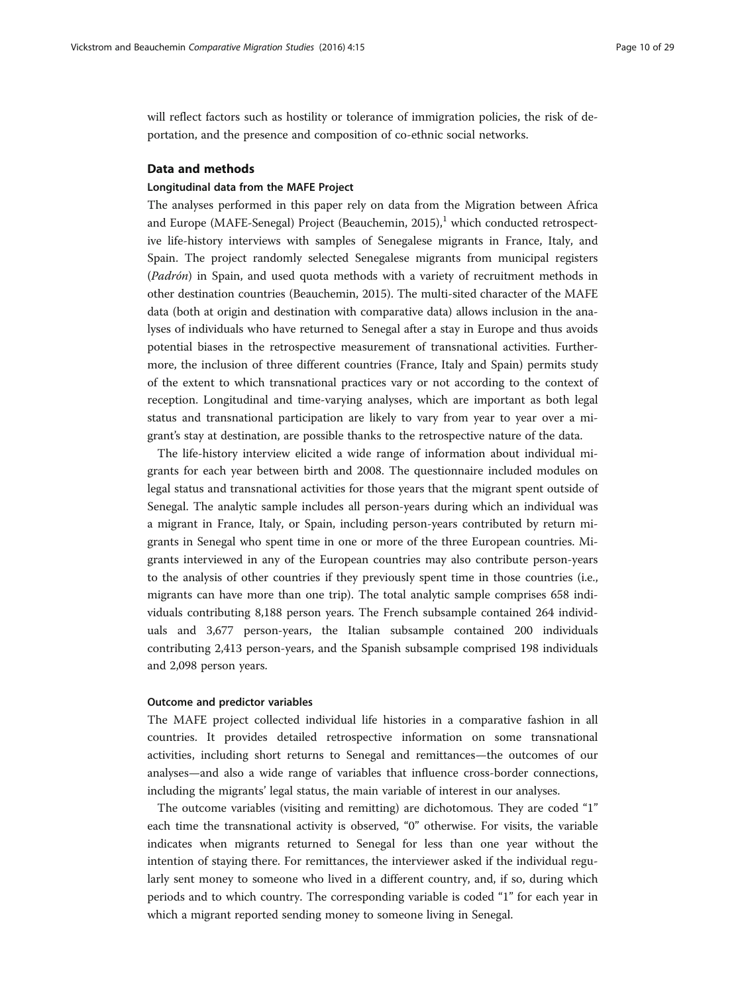will reflect factors such as hostility or tolerance of immigration policies, the risk of deportation, and the presence and composition of co-ethnic social networks.

# Data and methods

## Longitudinal data from the MAFE Project

The analyses performed in this paper rely on data from the Migration between Africa and Europe (MAFE-Senegal) Project (Beauchemin, [2015](#page-26-0)), $\frac{1}{2}$  which conducted retrospective life-history interviews with samples of Senegalese migrants in France, Italy, and Spain. The project randomly selected Senegalese migrants from municipal registers (Padrón) in Spain, and used quota methods with a variety of recruitment methods in other destination countries (Beauchemin, [2015\)](#page-26-0). The multi-sited character of the MAFE data (both at origin and destination with comparative data) allows inclusion in the analyses of individuals who have returned to Senegal after a stay in Europe and thus avoids potential biases in the retrospective measurement of transnational activities. Furthermore, the inclusion of three different countries (France, Italy and Spain) permits study of the extent to which transnational practices vary or not according to the context of reception. Longitudinal and time-varying analyses, which are important as both legal status and transnational participation are likely to vary from year to year over a migrant's stay at destination, are possible thanks to the retrospective nature of the data.

The life-history interview elicited a wide range of information about individual migrants for each year between birth and 2008. The questionnaire included modules on legal status and transnational activities for those years that the migrant spent outside of Senegal. The analytic sample includes all person-years during which an individual was a migrant in France, Italy, or Spain, including person-years contributed by return migrants in Senegal who spent time in one or more of the three European countries. Migrants interviewed in any of the European countries may also contribute person-years to the analysis of other countries if they previously spent time in those countries (i.e., migrants can have more than one trip). The total analytic sample comprises 658 individuals contributing 8,188 person years. The French subsample contained 264 individuals and 3,677 person-years, the Italian subsample contained 200 individuals contributing 2,413 person-years, and the Spanish subsample comprised 198 individuals and 2,098 person years.

### Outcome and predictor variables

The MAFE project collected individual life histories in a comparative fashion in all countries. It provides detailed retrospective information on some transnational activities, including short returns to Senegal and remittances—the outcomes of our analyses—and also a wide range of variables that influence cross-border connections, including the migrants' legal status, the main variable of interest in our analyses.

The outcome variables (visiting and remitting) are dichotomous. They are coded "1" each time the transnational activity is observed, "0" otherwise. For visits, the variable indicates when migrants returned to Senegal for less than one year without the intention of staying there. For remittances, the interviewer asked if the individual regularly sent money to someone who lived in a different country, and, if so, during which periods and to which country. The corresponding variable is coded "1" for each year in which a migrant reported sending money to someone living in Senegal.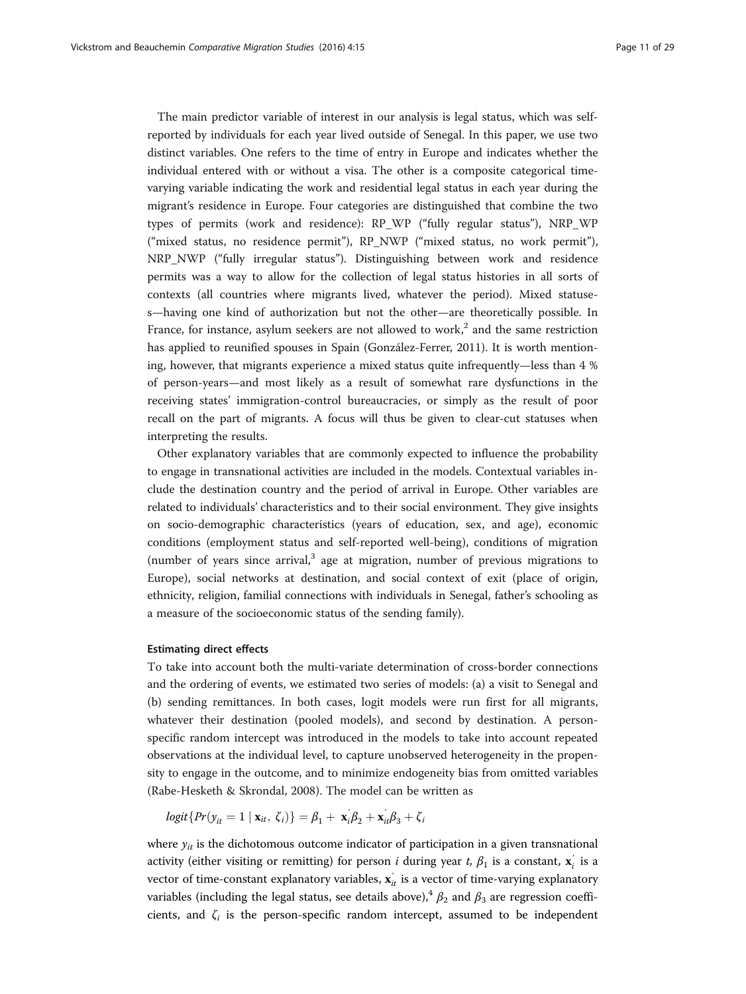The main predictor variable of interest in our analysis is legal status, which was selfreported by individuals for each year lived outside of Senegal. In this paper, we use two distinct variables. One refers to the time of entry in Europe and indicates whether the individual entered with or without a visa. The other is a composite categorical timevarying variable indicating the work and residential legal status in each year during the migrant's residence in Europe. Four categories are distinguished that combine the two types of permits (work and residence): RP\_WP ("fully regular status"), NRP\_WP ("mixed status, no residence permit"), RP\_NWP ("mixed status, no work permit"), NRP\_NWP ("fully irregular status"). Distinguishing between work and residence permits was a way to allow for the collection of legal status histories in all sorts of contexts (all countries where migrants lived, whatever the period). Mixed statuses—having one kind of authorization but not the other—are theoretically possible. In France, for instance, asylum seekers are not allowed to work,<sup>2</sup> and the same restriction has applied to reunified spouses in Spain (González-Ferrer, [2011](#page-26-0)). It is worth mentioning, however, that migrants experience a mixed status quite infrequently—less than 4 % of person-years—and most likely as a result of somewhat rare dysfunctions in the receiving states' immigration-control bureaucracies, or simply as the result of poor recall on the part of migrants. A focus will thus be given to clear-cut statuses when interpreting the results.

Other explanatory variables that are commonly expected to influence the probability to engage in transnational activities are included in the models. Contextual variables include the destination country and the period of arrival in Europe. Other variables are related to individuals' characteristics and to their social environment. They give insights on socio-demographic characteristics (years of education, sex, and age), economic conditions (employment status and self-reported well-being), conditions of migration (number of years since arrival, $3$  age at migration, number of previous migrations to Europe), social networks at destination, and social context of exit (place of origin, ethnicity, religion, familial connections with individuals in Senegal, father's schooling as a measure of the socioeconomic status of the sending family).

## Estimating direct effects

To take into account both the multi-variate determination of cross-border connections and the ordering of events, we estimated two series of models: (a) a visit to Senegal and (b) sending remittances. In both cases, logit models were run first for all migrants, whatever their destination (pooled models), and second by destination. A personspecific random intercept was introduced in the models to take into account repeated observations at the individual level, to capture unobserved heterogeneity in the propensity to engage in the outcome, and to minimize endogeneity bias from omitted variables (Rabe-Hesketh & Skrondal, [2008](#page-27-0)). The model can be written as

$$
logit\{Pr(y_{it} = 1 \mid \mathbf{x}_{it}, \zeta_i)\} = \beta_1 + \mathbf{x}_i'\beta_2 + \mathbf{x}_i'\beta_3 + \zeta_i
$$

where  $y_{it}$  is the dichotomous outcome indicator of participation in a given transnational activity (either visiting or remitting) for person *i* during year *t*,  $\beta_1$  is a constant,  $\mathbf{x}^{'}_i$  is a vector of time-constant explanatory variables,  $\mathbf{x}^{'}_{it}$  is a vector of time-varying explanatory variables (including the legal status, see details above),<sup>4</sup>  $\beta_2$  and  $\beta_3$  are regression coefficients, and  $\zeta_i$  is the person-specific random intercept, assumed to be independent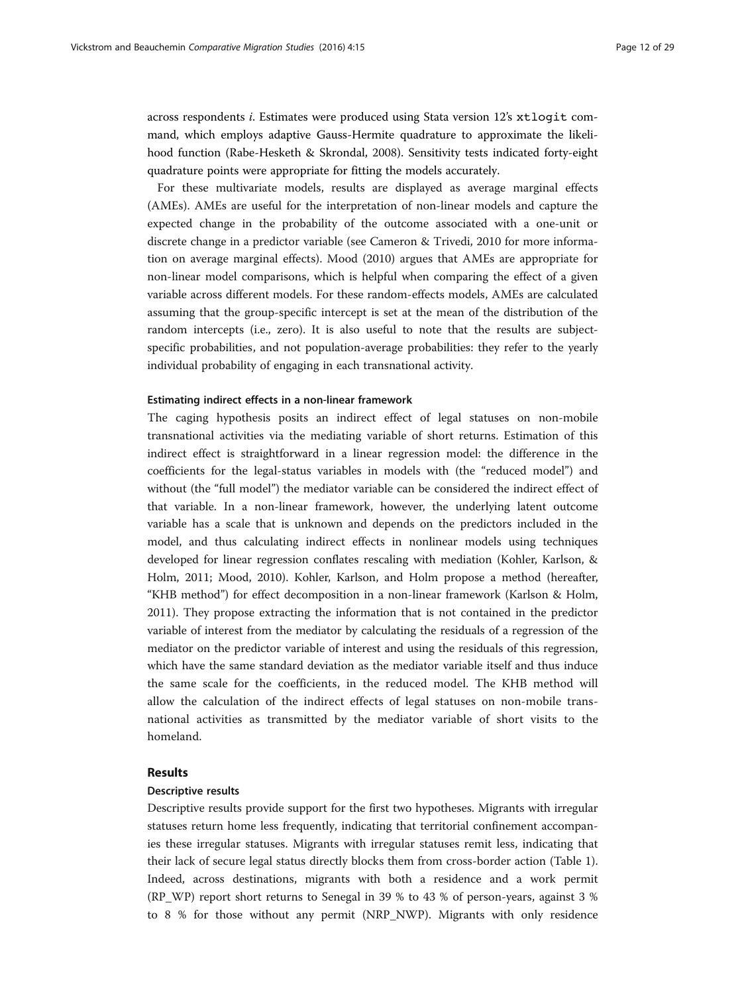across respondents <sup>i</sup>. Estimates were produced using Stata version 12'<sup>s</sup> xtlogit command, which employs adaptive Gauss-Hermite quadrature to approximate the likelihood function (Rabe-Hesketh & Skrondal, [2008](#page-27-0)). Sensitivity tests indicated forty-eight quadrature points were appropriate for fitting the models accurately.

For these multivariate models, results are displayed as average marginal effects (AMEs). AMEs are useful for the interpretation of non-linear models and capture the expected change in the probability of the outcome associated with a one-unit or discrete change in a predictor variable (see Cameron & Trivedi, [2010](#page-26-0) for more information on average marginal effects). Mood ([2010](#page-27-0)) argues that AMEs are appropriate for non-linear model comparisons, which is helpful when comparing the effect of a given variable across different models. For these random-effects models, AMEs are calculated assuming that the group-specific intercept is set at the mean of the distribution of the random intercepts (i.e., zero). It is also useful to note that the results are subjectspecific probabilities, and not population-average probabilities: they refer to the yearly individual probability of engaging in each transnational activity.

### Estimating indirect effects in a non-linear framework

The caging hypothesis posits an indirect effect of legal statuses on non-mobile transnational activities via the mediating variable of short returns. Estimation of this indirect effect is straightforward in a linear regression model: the difference in the coefficients for the legal-status variables in models with (the "reduced model") and without (the "full model") the mediator variable can be considered the indirect effect of that variable. In a non-linear framework, however, the underlying latent outcome variable has a scale that is unknown and depends on the predictors included in the model, and thus calculating indirect effects in nonlinear models using techniques developed for linear regression conflates rescaling with mediation (Kohler, Karlson, & Holm, [2011](#page-27-0); Mood, [2010](#page-27-0)). Kohler, Karlson, and Holm propose a method (hereafter, "KHB method") for effect decomposition in a non-linear framework (Karlson & Holm, [2011](#page-26-0)). They propose extracting the information that is not contained in the predictor variable of interest from the mediator by calculating the residuals of a regression of the mediator on the predictor variable of interest and using the residuals of this regression, which have the same standard deviation as the mediator variable itself and thus induce the same scale for the coefficients, in the reduced model. The KHB method will allow the calculation of the indirect effects of legal statuses on non-mobile transnational activities as transmitted by the mediator variable of short visits to the homeland.

## Results

### Descriptive results

Descriptive results provide support for the first two hypotheses. Migrants with irregular statuses return home less frequently, indicating that territorial confinement accompanies these irregular statuses. Migrants with irregular statuses remit less, indicating that their lack of secure legal status directly blocks them from cross-border action (Table [1](#page-12-0)). Indeed, across destinations, migrants with both a residence and a work permit (RP\_WP) report short returns to Senegal in 39 % to 43 % of person-years, against 3 % to 8 % for those without any permit (NRP\_NWP). Migrants with only residence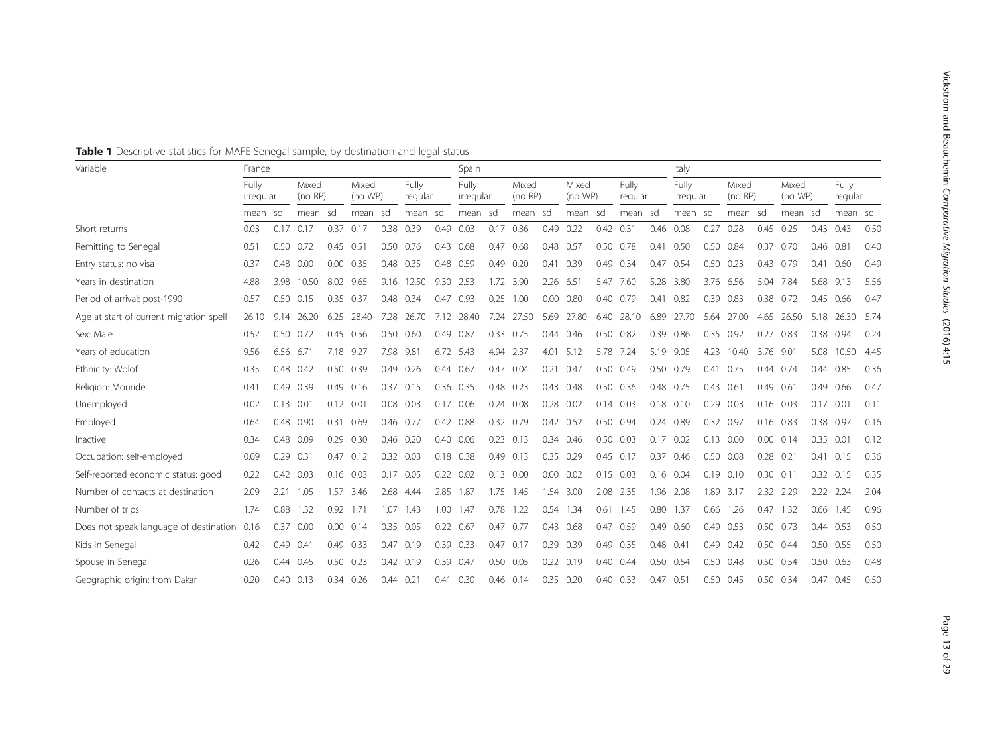| Variable                                | France  |           |                  |               |                                      | Spain         |                    |      |                  |      | Italy            |           |                  |      |                    |             |                  |             |                  |           |                  |               |            |      |
|-----------------------------------------|---------|-----------|------------------|---------------|--------------------------------------|---------------|--------------------|------|------------------|------|------------------|-----------|------------------|------|--------------------|-------------|------------------|-------------|------------------|-----------|------------------|---------------|------------|------|
|                                         |         | irregular | Mixed<br>(no RP) |               | Fully<br>Mixed<br>(no WP)<br>regular |               | Fully<br>irregular |      | Mixed<br>(no RP) |      | Mixed<br>(no WP) |           | Fully<br>regular |      | Fully<br>irregular |             | Mixed<br>(no RP) |             | Mixed<br>(no WP) |           | Fully<br>regular |               |            |      |
|                                         | mean sd |           | mean sd          |               | mean sd                              |               | mean sd            |      | mean sd          |      | mean sd          |           | mean             | sd   | mean sd            |             | mean sd          |             | mean sd          |           | mean             | - sd          | mean sd    |      |
| Short returns                           | 0.03    |           | $0.17$ 0.17      | 0.37          | 0.17                                 | 0.38          | 0.39               | 0.49 | 0.03             | 0.17 | 0.36             | 0.49      | 0.22             |      | 0.42 0.31          |             | 0.46 0.08        | 0.27        | 0.28             | 0.45      | 0.25             | 0.43 0.43     |            | 0.50 |
| Remitting to Senegal                    | 0.51    | 0.50      | 0.72             | 0.45          | 0.51                                 | 0.50          | 0.76               | 0.43 | 0.68             | 0.47 | 0.68             | 0.48 0.57 |                  | 0.50 | 0.78               | 0.41        | 0.50             | 0.50        | 0.84             | 0.37      | 0.70             | 0.46 0.81     |            | 0.40 |
| Entry status: no visa                   | 0.37    | 0.48      | 0.00             | 0.00          | 0.35                                 | 0.48          | 0.35               | 0.48 | 0.59             | 0.49 | 0.20             | 0.41      | 0.39             | 0.49 | 0.34               | 0.47        | 0.54             | 0.50        | 0.23             | 0.43      | 0.79             | 0.41          | 0.60       | 0.49 |
| Years in destination                    | 4.88    | 3.98      | 10.50            | 8.02          | 9.65                                 | 9.16          | 12.50              | 9.30 | 2.53             | 1.72 | 3.90             | 2.26 6.51 |                  | 5.47 | 7.60               | 5.28        | 3.80             |             | 3.76 6.56        | 5.04      | 7.84             | 5.68 9.13     |            | 5.56 |
| Period of arrival: post-1990            | 0.57    | 0.50      | 0.15             | 0.35          | 0.37                                 |               | 0.48 0.34          | 0.47 | 0.93             | 0.25 | 1.00             | 0.00      | 0.80             | 0.40 | 0.79               | 0.41        | 0.82             | 0.39        | 0.83             | 0.38      | 0.72             | 0.45          | 0.66       | 0.47 |
| Age at start of current migration spell | 26.10   | 9.14      | 26.20            | 6.25          | 28.40                                | 7.28          | 26.70              | 7.12 | 28.40            | 7.24 | 27.50            | 5.69      | 27.80            | 6.40 | 28.10              | 6.89        | 27.70            | 5.64        | 27.00            | 4.65      | 26.50            | 5.18          | 26.30      | 5.74 |
| Sex: Male                               | 0.52    |           | 0.50 0.72        |               | 0.45 0.56                            |               | 0.50 0.60          |      | 0.49 0.87        |      | 0.33 0.75        |           | 0.44 0.46        | 0.50 | 0.82               | 0.39        | 0.86             | 0.35        | 0.92             | 0.27      | 0.83             | 0.38 0.94     |            | 0.24 |
| Years of education                      | 9.56    |           | 6.56 6.71        |               | 7.18 9.27                            | 7.98          | 9.81               |      | 6.72 5.43        | 4.94 | 2.37             |           | 4.01 5.12        | 5.78 | 7.24               |             | 5.19 9.05        | 4.23        | 10.40            | 3.76 9.01 |                  | 5.08          | 10.50 4.45 |      |
| Ethnicity: Wolof                        | 0.35    | 0.48      | 0.42             |               | 0.50 0.39                            | 0.49          | 0.26               | 0.44 | 0.67             | 0.47 | 0.04             | 0.21      | 0.47             |      | 0.50 0.49          |             | 0.50 0.79        | 0.41        | 0.75             |           | 0.44 0.74        | 0.44 0.85     |            | 0.36 |
| Religion: Mouride                       | 0.41    | 0.49      | 0.39             | 0.49          | 0.16                                 | 0.37          | 0.15               |      | 0.36 0.35        | 0.48 | 0.23             |           | 0.43 0.48        |      | 0.50 0.36          |             | 0.48 0.75        | $0.43$ 0.61 |                  | 0.49      | 0.61             | 0.49 0.66     |            | 0.47 |
| Unemployed                              | 0.02    | 0.13      | 0.01             | $0.12$ $0.01$ |                                      | 0.08          | 0.03               | 0.17 | 0.06             | 0.24 | 0.08             | 0.28      | 0.02             | 0.14 | 0.03               |             | $0.18$ 0.10      | 0.29        | 0.03             | 0.16      | 0.03             | 0.17          | 0.01       | 0.11 |
| Employed                                | 0.64    | 0.48      | 0.90             | 0.31          | 0.69                                 | 0.46          | 0.77               | 0.42 | 0.88             | 0.32 | 0.79             |           | 0.42 0.52        | 0.50 | 0.94               | 0.24        | 0.89             | 0.32        | 0.97             | 0.16      | 0.83             | 0.38 0.97     |            | 0.16 |
| Inactive                                | 0.34    | 0.48      | 0.09             | 0.29          | 0.30                                 | 0.46          | 0.20               | 0.40 | 0.06             | 0.23 | 0.13             |           | 0.34 0.46        | 0.50 | 0.03               | 0.17        | 0.02             | 0.13        | 0.00             | 0.00      | 0.14             | 0.35          | 0.01       | 0.12 |
| Occupation: self-employed               | 0.09    | 0.29      | 0.31             | 0.47          | 0.12                                 | 0.32          | 0.03               | 0.18 | 0.38             | 0.49 | 0.13             | 0.35      | 0.29             | 0.45 | 0.17               | 0.37        | 0.46             | 0.50        | 0.08             | 0.28      | 0.21             | 0.41          | 0.15       | 0.36 |
| Self-reported economic status: good     | 0.22    | 0.42      | 0.03             | 0.16          | 0.03                                 | 0.17          | 0.05               | 0.22 | 0.02             | 0.13 | 0.00             | 0.00      | 0.02             | 0.15 | 0.03               |             | $0.16$ 0.04      | 0.19        | 0.10             | 0.30      | 0.11             | $0.32$ 0.15   |            | 0.35 |
| Number of contacts at destination       | 2.09    | 2.21      | 1.05             | 1.57          | 3.46                                 | 2.68          | 4.44               | 2.85 | 1.87             | 1.75 | 1.45             | 1.54      | 3.00             | 2.08 | 2.35               | 1.96        | 2.08             | 1.89        | 3.17             | 2.32      | 2.29             | 2.22          | 2.24       | 2.04 |
| Number of trips                         | 1.74    | 0.88      | 1.32             | 0.92          | 1.71                                 | 1.07          | 1.43               | 1.00 | 1.47             | 0.78 | 1.22             |           | 0.54 1.34        | 0.61 | 1.45               |             | 0.80 1.37        | 0.66        | 1.26             | 0.47      | 1.32             | 0.66          | 1.45       | 0.96 |
| Does not speak language of destination  | 0.16    | 0.37      | 0.00             | 0.00          | 0.14                                 |               | $0.35$ 0.05        |      | $0.22$ 0.67      | 0.47 | 0.77             |           | 0.43 0.68        | 0.47 | 0.59               | 0.49        | 0.60             | 0.49        | 0.53             |           | $0.50$ 0.73      | 0.44 0.53     |            | 0.50 |
| Kids in Senegal                         | 0.42    | 0.49      | 0.41             | 0.49          | 0.33                                 | 0.47          | 0.19               |      | 0.39 0.33        | 0.47 | 0.17             | 0.39      | 0.39             | 0.49 | 0.35               |             | 0.48 0.41        | 0.49        | 0.42             |           | 0.50 0.44        |               | 0.50 0.55  | 0.50 |
| Spouse in Senegal                       | 0.26    | 0.44      | 0.45             |               | $0.50$ $0.23$                        |               | 0.42 0.19          |      | 0.39 0.47        | 0.50 | 0.05             |           | $0.22$ 0.19      |      | $0.40$ 0.44        |             | 0.50 0.54        |             | 0.50 0.48        |           | 0.50 0.54        | $0.50$ $0.63$ |            | 0.48 |
| Geographic origin: from Dakar           | 0.20    | 0.40      | 0.13             | 0.34          | 0.26                                 | $0.44$ $0.21$ |                    | 0.41 | 0.30             |      | $0.46$ 0.14      |           | $0.35$ 0.20      | 0.40 | 0.33               | $0.47$ 0.51 |                  |             | $0.50$ $0.45$    |           | $0.50$ $0.34$    | 0.47          | 0.45       | 0.50 |

<span id="page-12-0"></span>Table 1 Descriptive statistics for MAFE-Senegal sample, by destination and legal status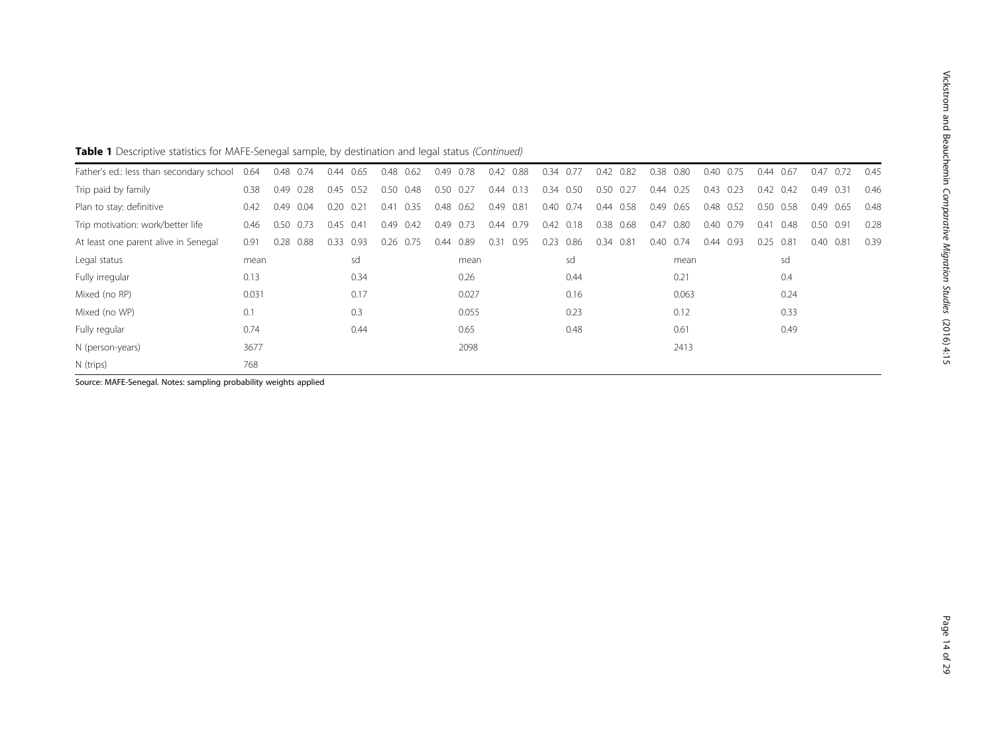# Table 1 Descriptive statistics for MAFE-Senegal sample, by destination and legal status (Continued)

| Father's ed.: less than secondary school | 0.64  | 0.48<br>0.74 | 0.44<br>0.65 | 0.48<br>0.62 | 0.78<br>0.49 | 0.88<br>0.42 | 0.77<br>0.34 | 0.42<br>0.82 | 0.80<br>0.38 | 0.40<br>0.75 | 0.67<br>0.44 | 0.47<br>0.72 | 0.45 |
|------------------------------------------|-------|--------------|--------------|--------------|--------------|--------------|--------------|--------------|--------------|--------------|--------------|--------------|------|
| Trip paid by family                      | 0.38  | 0.49<br>0.28 | 0.45<br>0.52 | 0.50<br>0.48 | 0.50<br>0.27 | 0.44<br>0.13 | 0.34<br>0.50 | 0.50<br>0.27 | 0.25<br>0.44 | 0.23<br>0.43 | 0.42<br>0.42 | 0.49 0.31    | 0.46 |
| Plan to stay: definitive                 | 0.42  | 0.49<br>0.04 | 0.20<br>0.21 | 0.35<br>0.41 | 0.48<br>0.62 | 0.49<br>0.81 | 0.74<br>0.40 | 0.58<br>0.44 | 0.49<br>0.65 | 0.48<br>0.52 | 0.50<br>0.58 | 0.49<br>0.65 | 0.48 |
| Trip motivation: work/better life        | 0.46  | 0.50 0.73    | 0.45<br>0.41 | $0.49$ 0.42  | 0.49 0.73    | 0.44 0.79    | $0.42$ 0.18  | 0.38 0.68    | 0.80<br>0.47 | 0.40<br>0.79 | 0.48<br>0.41 | 0.50<br>0.91 | 0.28 |
| At least one parent alive in Senegal     | 0.91  | 0.28<br>0.88 | 0.93<br>0.33 | 0.26<br>0.75 | 0.89<br>0.44 | 0.31<br>0.95 | 0.86<br>0.23 | 0.34<br>0.81 | 0.74<br>0.40 | 0.44<br>0.93 | 0.25<br>0.81 | 0.40<br>0.81 | 0.39 |
| Legal status                             | mean  |              | sd           |              | mean         |              | sd           |              | mean         |              | sd           |              |      |
| Fully irregular                          | 0.13  |              | 0.34         |              | 0.26         |              | 0.44         |              | 0.21         |              | 0.4          |              |      |
| Mixed (no RP)                            | 0.031 |              | 0.17         |              | 0.027        |              | 0.16         |              | 0.063        |              | 0.24         |              |      |
| Mixed (no WP)                            | 0.1   |              | 0.3          |              | 0.055        |              | 0.23         |              | 0.12         |              | 0.33         |              |      |
| Fully regular                            | 0.74  |              | 0.44         |              | 0.65         |              | 0.48         |              | 0.61         |              | 0.49         |              |      |
| N (person-years)                         | 3677  |              |              |              | 2098         |              |              |              | 2413         |              |              |              |      |
| N (trips)                                | 768   |              |              |              |              |              |              |              |              |              |              |              |      |

Source: MAFE-Senegal. Notes: sampling probability weights applied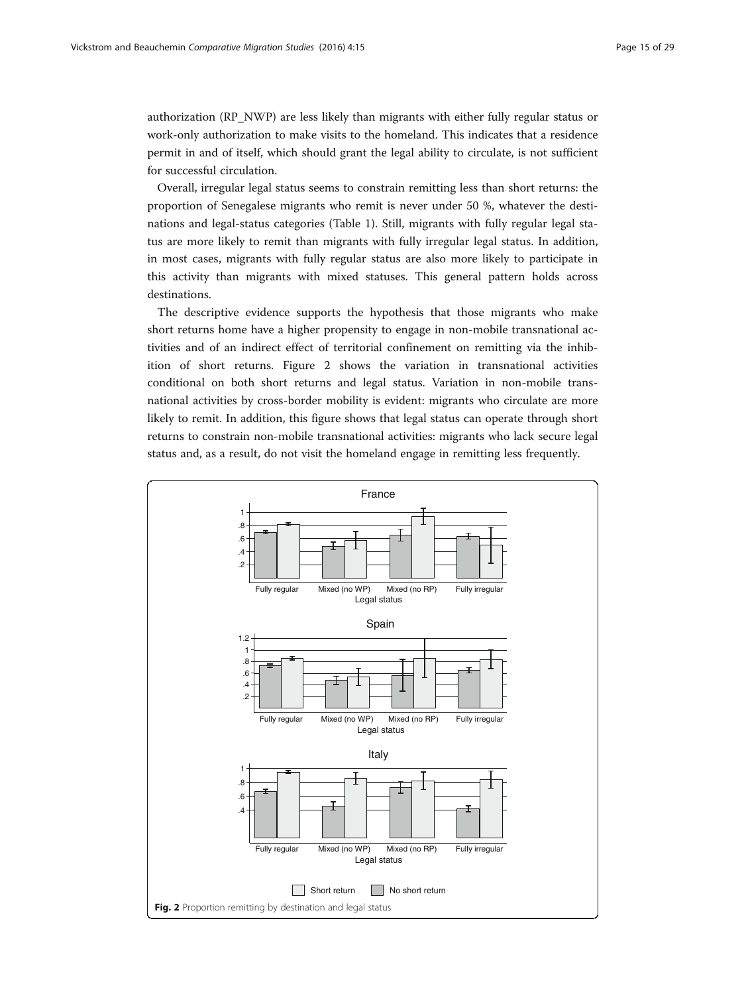authorization (RP\_NWP) are less likely than migrants with either fully regular status or work-only authorization to make visits to the homeland. This indicates that a residence permit in and of itself, which should grant the legal ability to circulate, is not sufficient for successful circulation.

Overall, irregular legal status seems to constrain remitting less than short returns: the proportion of Senegalese migrants who remit is never under 50 %, whatever the destinations and legal-status categories (Table [1](#page-12-0)). Still, migrants with fully regular legal status are more likely to remit than migrants with fully irregular legal status. In addition, in most cases, migrants with fully regular status are also more likely to participate in this activity than migrants with mixed statuses. This general pattern holds across destinations.

The descriptive evidence supports the hypothesis that those migrants who make short returns home have a higher propensity to engage in non-mobile transnational activities and of an indirect effect of territorial confinement on remitting via the inhibition of short returns. Figure 2 shows the variation in transnational activities conditional on both short returns and legal status. Variation in non-mobile transnational activities by cross-border mobility is evident: migrants who circulate are more likely to remit. In addition, this figure shows that legal status can operate through short returns to constrain non-mobile transnational activities: migrants who lack secure legal status and, as a result, do not visit the homeland engage in remitting less frequently.

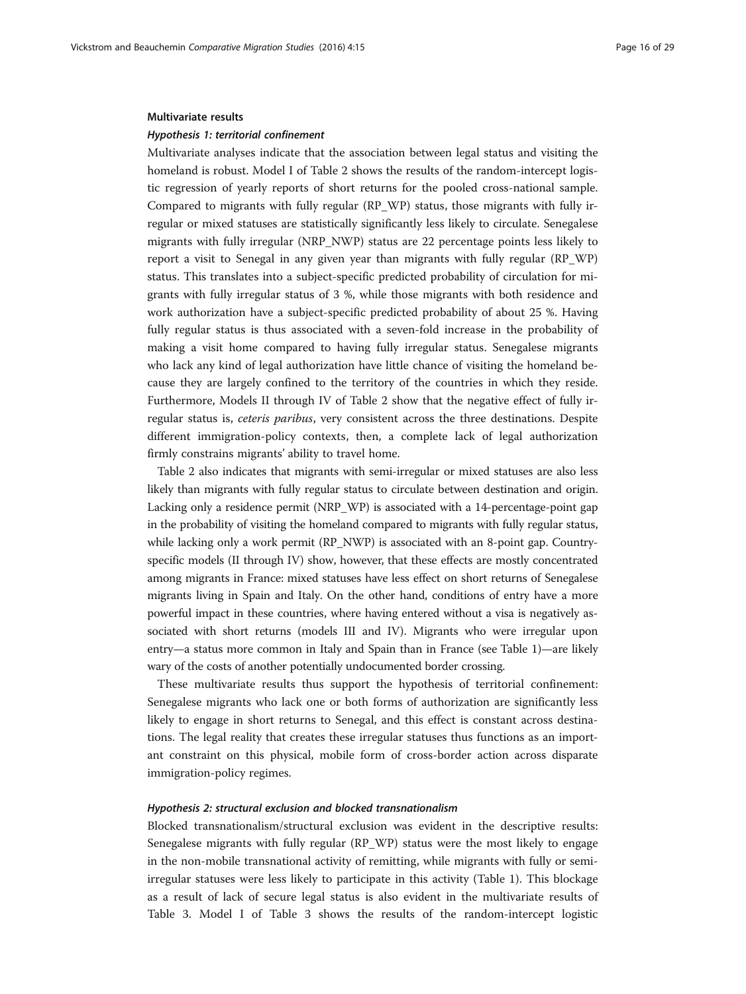#### Multivariate results

### Hypothesis 1: territorial confinement

Multivariate analyses indicate that the association between legal status and visiting the homeland is robust. Model I of Table [2](#page-16-0) shows the results of the random-intercept logistic regression of yearly reports of short returns for the pooled cross-national sample. Compared to migrants with fully regular (RP\_WP) status, those migrants with fully irregular or mixed statuses are statistically significantly less likely to circulate. Senegalese migrants with fully irregular (NRP\_NWP) status are 22 percentage points less likely to report a visit to Senegal in any given year than migrants with fully regular (RP\_WP) status. This translates into a subject-specific predicted probability of circulation for migrants with fully irregular status of 3 %, while those migrants with both residence and work authorization have a subject-specific predicted probability of about 25 %. Having fully regular status is thus associated with a seven-fold increase in the probability of making a visit home compared to having fully irregular status. Senegalese migrants who lack any kind of legal authorization have little chance of visiting the homeland because they are largely confined to the territory of the countries in which they reside. Furthermore, Models II through IV of Table [2](#page-16-0) show that the negative effect of fully irregular status is, ceteris paribus, very consistent across the three destinations. Despite different immigration-policy contexts, then, a complete lack of legal authorization firmly constrains migrants' ability to travel home.

Table [2](#page-16-0) also indicates that migrants with semi-irregular or mixed statuses are also less likely than migrants with fully regular status to circulate between destination and origin. Lacking only a residence permit (NRP\_WP) is associated with a 14-percentage-point gap in the probability of visiting the homeland compared to migrants with fully regular status, while lacking only a work permit (RP\_NWP) is associated with an 8-point gap. Countryspecific models (II through IV) show, however, that these effects are mostly concentrated among migrants in France: mixed statuses have less effect on short returns of Senegalese migrants living in Spain and Italy. On the other hand, conditions of entry have a more powerful impact in these countries, where having entered without a visa is negatively associated with short returns (models III and IV). Migrants who were irregular upon entry—a status more common in Italy and Spain than in France (see Table [1](#page-12-0))—are likely wary of the costs of another potentially undocumented border crossing.

These multivariate results thus support the hypothesis of territorial confinement: Senegalese migrants who lack one or both forms of authorization are significantly less likely to engage in short returns to Senegal, and this effect is constant across destinations. The legal reality that creates these irregular statuses thus functions as an important constraint on this physical, mobile form of cross-border action across disparate immigration-policy regimes.

### Hypothesis 2: structural exclusion and blocked transnationalism

Blocked transnationalism/structural exclusion was evident in the descriptive results: Senegalese migrants with fully regular (RP\_WP) status were the most likely to engage in the non-mobile transnational activity of remitting, while migrants with fully or semiirregular statuses were less likely to participate in this activity (Table [1\)](#page-12-0). This blockage as a result of lack of secure legal status is also evident in the multivariate results of Table [3.](#page-17-0) Model I of Table [3](#page-17-0) shows the results of the random-intercept logistic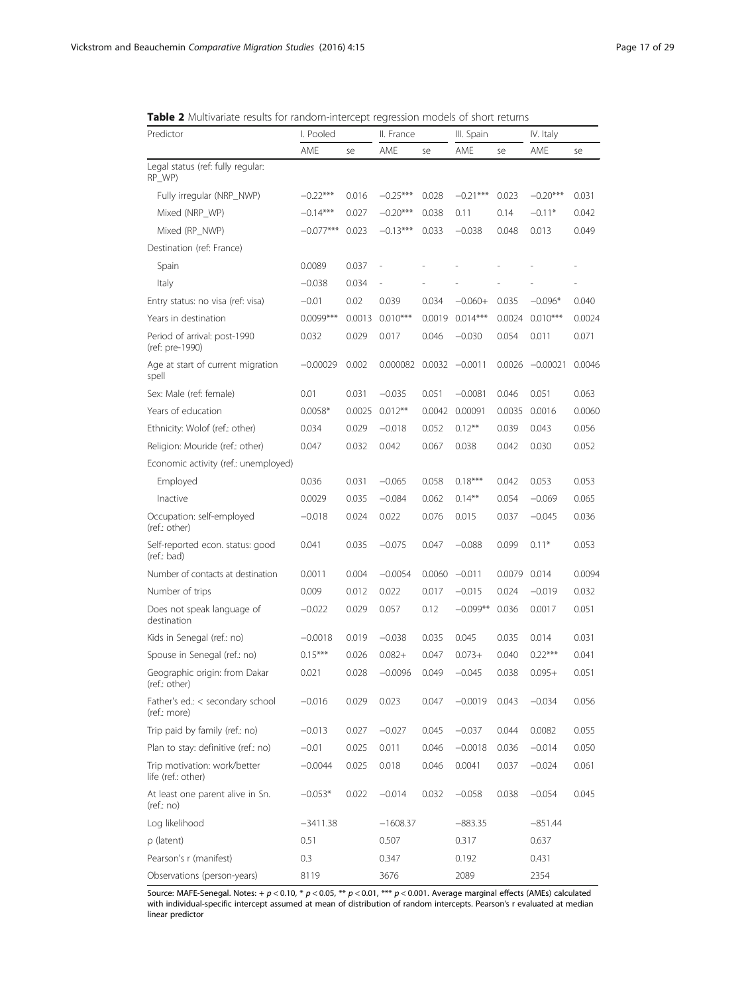<span id="page-16-0"></span>

| Table 2 Multivariate results for random-intercept regression models of short returns |  |
|--------------------------------------------------------------------------------------|--|
|--------------------------------------------------------------------------------------|--|

| Predictor                                          | I. Pooled   |        | II. France |        | III. Spain |        | IV. Italy         |        |  |
|----------------------------------------------------|-------------|--------|------------|--------|------------|--------|-------------------|--------|--|
|                                                    | AME         | se     | AME        | se     | AME        | se     | AME               | se     |  |
| Legal status (ref: fully regular:<br>RP_WP)        |             |        |            |        |            |        |                   |        |  |
| Fully irregular (NRP_NWP)                          | $-0.22***$  | 0.016  | $-0.25***$ | 0.028  | $-0.21***$ | 0.023  | $-0.20***$        | 0.031  |  |
| Mixed (NRP WP)                                     | $-0.14***$  | 0.027  | $-0.20***$ | 0.038  | 0.11       | 0.14   | $-0.11*$          | 0.042  |  |
| Mixed (RP_NWP)                                     | $-0.077***$ | 0.023  | $-0.13***$ | 0.033  | $-0.038$   | 0.048  | 0.013             | 0.049  |  |
| Destination (ref: France)                          |             |        |            |        |            |        |                   |        |  |
| Spain                                              | 0.0089      | 0.037  |            |        |            |        |                   |        |  |
| Italy                                              | $-0.038$    | 0.034  |            |        |            |        |                   |        |  |
| Entry status: no visa (ref: visa)                  | $-0.01$     | 0.02   | 0.039      | 0.034  | $-0.060+$  | 0.035  | $-0.096*$         | 0.040  |  |
| Years in destination                               | $0.0099***$ | 0.0013 | $0.010***$ | 0.0019 | $0.014***$ | 0.0024 | $0.010***$        | 0.0024 |  |
| Period of arrival: post-1990<br>(ref: pre-1990)    | 0.032       | 0.029  | 0.017      | 0.046  | $-0.030$   | 0.054  | 0.011             | 0.071  |  |
| Age at start of current migration<br>spell         | $-0.00029$  | 0.002  | 0.000082   | 0.0032 | $-0.0011$  |        | $0.0026 -0.00021$ | 0.0046 |  |
| Sex: Male (ref: female)                            | 0.01        | 0.031  | $-0.035$   | 0.051  | $-0.0081$  | 0.046  | 0.051             | 0.063  |  |
| Years of education                                 | $0.0058*$   | 0.0025 | $0.012***$ | 0.0042 | 0.00091    | 0.0035 | 0.0016            | 0.0060 |  |
| Ethnicity: Wolof (ref.: other)                     | 0.034       | 0.029  | $-0.018$   | 0.052  | $0.12***$  | 0.039  | 0.043             | 0.056  |  |
| Religion: Mouride (ref.: other)                    | 0.047       | 0.032  | 0.042      | 0.067  | 0.038      | 0.042  | 0.030             | 0.052  |  |
| Economic activity (ref.: unemployed)               |             |        |            |        |            |        |                   |        |  |
| Employed                                           | 0.036       | 0.031  | $-0.065$   | 0.058  | $0.18***$  | 0.042  | 0.053             | 0.053  |  |
| Inactive                                           | 0.0029      | 0.035  | $-0.084$   | 0.062  | $0.14***$  | 0.054  | $-0.069$          | 0.065  |  |
| Occupation: self-employed<br>(ref.: other)         | $-0.018$    | 0.024  | 0.022      | 0.076  | 0.015      | 0.037  | $-0.045$          | 0.036  |  |
| Self-reported econ. status: good<br>(ref.: bad)    | 0.041       | 0.035  | $-0.075$   | 0.047  | $-0.088$   | 0.099  | $0.11*$           | 0.053  |  |
| Number of contacts at destination                  | 0.0011      | 0.004  | $-0.0054$  | 0.0060 | $-0.011$   | 0.0079 | 0.014             | 0.0094 |  |
| Number of trips                                    | 0.009       | 0.012  | 0.022      | 0.017  | $-0.015$   | 0.024  | $-0.019$          | 0.032  |  |
| Does not speak language of<br>destination          | $-0.022$    | 0.029  | 0.057      | 0.12   | $-0.099**$ | 0.036  | 0.0017            | 0.051  |  |
| Kids in Senegal (ref.: no)                         | $-0.0018$   | 0.019  | $-0.038$   | 0.035  | 0.045      | 0.035  | 0.014             | 0.031  |  |
| Spouse in Senegal (ref.: no)                       | $0.15***$   | 0.026  | $0.082 +$  | 0.047  | $0.073+$   | 0.040  | $0.22***$         | 0.041  |  |
| Geographic origin: from Dakar<br>(ref.: other)     | 0.021       | 0.028  | $-0.0096$  | 0.049  | $-0.045$   | 0.038  | $0.095+$          | 0.051  |  |
| Father's ed.: < secondary school<br>(ref.: more)   | $-0.016$    | 0.029  | 0.023      | 0.047  | $-0.0019$  | 0.043  | $-0.034$          | 0.056  |  |
| Trip paid by family (ref.: no)                     | $-0.013$    | 0.027  | $-0.027$   | 0.045  | $-0.037$   | 0.044  | 0.0082            | 0.055  |  |
| Plan to stay: definitive (ref.: no)                | $-0.01$     | 0.025  | 0.011      | 0.046  | $-0.0018$  | 0.036  | $-0.014$          | 0.050  |  |
| Trip motivation: work/better<br>life (ref.: other) | $-0.0044$   | 0.025  | 0.018      | 0.046  | 0.0041     | 0.037  | $-0.024$          | 0.061  |  |
| At least one parent alive in Sn.<br>(ref.:no)      | $-0.053*$   | 0.022  | $-0.014$   | 0.032  | $-0.058$   | 0.038  | $-0.054$          | 0.045  |  |
| Log likelihood                                     | $-3411.38$  |        | $-1608.37$ |        | $-883.35$  |        | $-851.44$         |        |  |
| $\rho$ (latent)                                    | 0.51        |        | 0.507      |        | 0.317      |        | 0.637             |        |  |
| Pearson's r (manifest)                             | 0.3         |        | 0.347      |        | 0.192      |        | 0.431             |        |  |
| Observations (person-years)                        | 8119        |        | 3676       |        | 2089       |        | 2354              |        |  |

Source: MAFE-Senegal. Notes: +  $p < 0.10$ , \*  $p < 0.05$ , \*\*  $p < 0.01$ , \*\*\*  $p < 0.001$ . Average marginal effects (AMEs) calculated with individual-specific intercept assumed at mean of distribution of random intercepts. Pearson's r evaluated at median linear predictor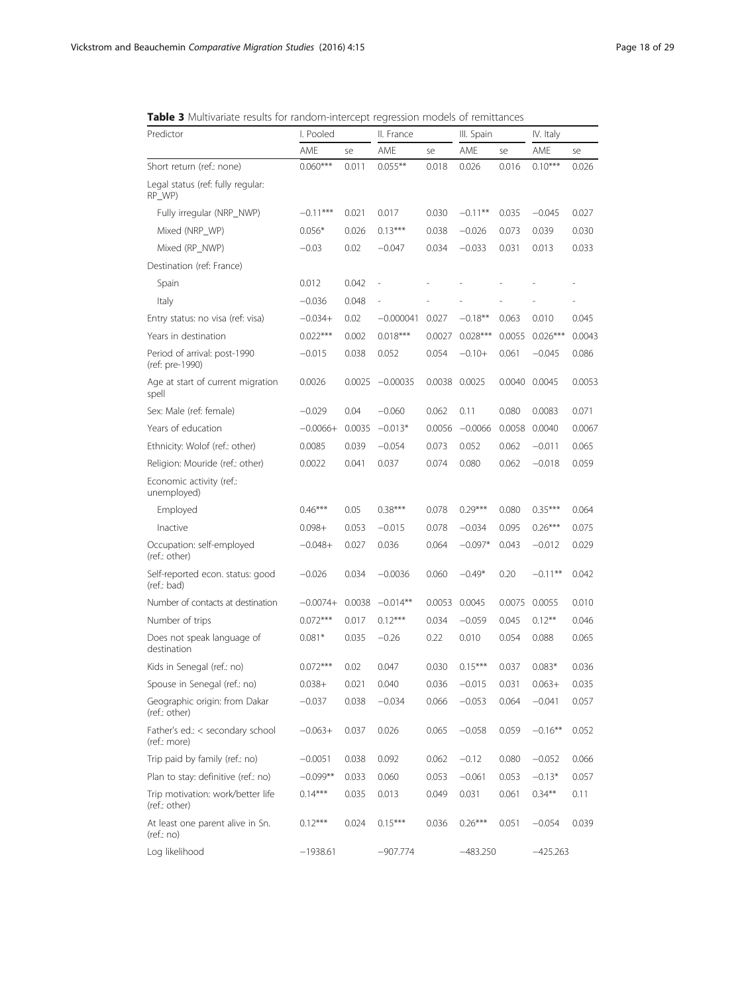<span id="page-17-0"></span>Table 3 Multivariate results for random-intercept regression models of remittances

| Predictor                                          | I. Pooled  |        | II. France  |        | III. Spain |        | IV. Italy  |        |  |
|----------------------------------------------------|------------|--------|-------------|--------|------------|--------|------------|--------|--|
|                                                    | AME        | se     | AME         | se     | AME        | se     | AME        | se     |  |
| Short return (ref.: none)                          | $0.060***$ | 0.011  | $0.055***$  | 0.018  | 0.026      | 0.016  | $0.10***$  | 0.026  |  |
| Legal status (ref: fully regular:<br>RP_WP)        |            |        |             |        |            |        |            |        |  |
| Fully irregular (NRP_NWP)                          | $-0.11***$ | 0.021  | 0.017       | 0.030  | $-0.11***$ | 0.035  | $-0.045$   | 0.027  |  |
| Mixed (NRP_WP)                                     | $0.056*$   | 0.026  | $0.13***$   | 0.038  | $-0.026$   | 0.073  | 0.039      | 0.030  |  |
| Mixed (RP_NWP)                                     | $-0.03$    | 0.02   | $-0.047$    | 0.034  | $-0.033$   | 0.031  | 0.013      | 0.033  |  |
| Destination (ref: France)                          |            |        |             |        |            |        |            |        |  |
| Spain                                              | 0.012      | 0.042  |             |        |            |        |            |        |  |
| Italy                                              | $-0.036$   | 0.048  |             |        |            |        |            |        |  |
| Entry status: no visa (ref: visa)                  | $-0.034+$  | 0.02   | $-0.000041$ | 0.027  | $-0.18***$ | 0.063  | 0.010      | 0.045  |  |
| Years in destination                               | $0.022***$ | 0.002  | $0.018***$  | 0.0027 | $0.028***$ | 0.0055 | $0.026***$ | 0.0043 |  |
| Period of arrival: post-1990<br>(ref: pre-1990)    | $-0.015$   | 0.038  | 0.052       | 0.054  | $-0.10+$   | 0.061  | $-0.045$   | 0.086  |  |
| Age at start of current migration<br>spell         | 0.0026     | 0.0025 | $-0.00035$  | 0.0038 | 0.0025     | 0.0040 | 0.0045     | 0.0053 |  |
| Sex: Male (ref: female)                            | $-0.029$   | 0.04   | $-0.060$    | 0.062  | 0.11       | 0.080  | 0.0083     | 0.071  |  |
| Years of education                                 | $-0.0066+$ | 0.0035 | $-0.013*$   | 0.0056 | $-0.0066$  | 0.0058 | 0.0040     | 0.0067 |  |
| Ethnicity: Wolof (ref.: other)                     | 0.0085     | 0.039  | $-0.054$    | 0.073  | 0.052      | 0.062  | $-0.011$   | 0.065  |  |
| Religion: Mouride (ref.: other)                    | 0.0022     | 0.041  | 0.037       | 0.074  | 0.080      | 0.062  | $-0.018$   | 0.059  |  |
| Economic activity (ref.:<br>unemployed)            |            |        |             |        |            |        |            |        |  |
| Employed                                           | $0.46***$  | 0.05   | $0.38***$   | 0.078  | $0.29***$  | 0.080  | $0.35***$  | 0.064  |  |
| Inactive                                           | $0.098 +$  | 0.053  | $-0.015$    | 0.078  | $-0.034$   | 0.095  | $0.26***$  | 0.075  |  |
| Occupation: self-employed<br>(ref.: other)         | $-0.048+$  | 0.027  | 0.036       | 0.064  | $-0.097*$  | 0.043  | $-0.012$   | 0.029  |  |
| Self-reported econ. status: good<br>(ref.: bad)    | $-0.026$   | 0.034  | $-0.0036$   | 0.060  | $-0.49*$   | 0.20   | $-0.11***$ | 0.042  |  |
| Number of contacts at destination                  | $-0.0074+$ | 0.0038 | $-0.014**$  | 0.0053 | 0.0045     | 0.0075 | 0.0055     | 0.010  |  |
| Number of trips                                    | $0.072***$ | 0.017  | $0.12***$   | 0.034  | $-0.059$   | 0.045  | $0.12***$  | 0.046  |  |
| Does not speak language of<br>destination          | $0.081*$   | 0.035  | $-0.26$     | 0.22   | 0.010      | 0.054  | 0.088      | 0.065  |  |
| Kids in Senegal (ref.: no)                         | $0.072***$ | 0.02   | 0.047       | 0.030  | $0.15***$  | 0.037  | $0.083*$   | 0.036  |  |
| Spouse in Senegal (ref.: no)                       | $0.038 +$  | 0.021  | 0.040       | 0.036  | $-0.015$   | 0.031  | $0.063+$   | 0.035  |  |
| Geographic origin: from Dakar<br>(ref.: other)     | $-0.037$   | 0.038  | $-0.034$    | 0.066  | $-0.053$   | 0.064  | $-0.041$   | 0.057  |  |
| Father's ed.: < secondary school<br>(ref.: more)   | $-0.063+$  | 0.037  | 0.026       | 0.065  | $-0.058$   | 0.059  | $-0.16***$ | 0.052  |  |
| Trip paid by family (ref.: no)                     | $-0.0051$  | 0.038  | 0.092       | 0.062  | $-0.12$    | 0.080  | $-0.052$   | 0.066  |  |
| Plan to stay: definitive (ref.: no)                | $-0.099**$ | 0.033  | 0.060       | 0.053  | $-0.061$   | 0.053  | $-0.13*$   | 0.057  |  |
| Trip motivation: work/better life<br>(ref.: other) | $0.14***$  | 0.035  | 0.013       | 0.049  | 0.031      | 0.061  | $0.34***$  | 0.11   |  |
| At least one parent alive in Sn.<br>(ref.:no)      | $0.12***$  | 0.024  | $0.15***$   | 0.036  | $0.26***$  | 0.051  | $-0.054$   | 0.039  |  |
| Log likelihood                                     | $-1938.61$ |        | $-907.774$  |        | $-483.250$ |        | $-425.263$ |        |  |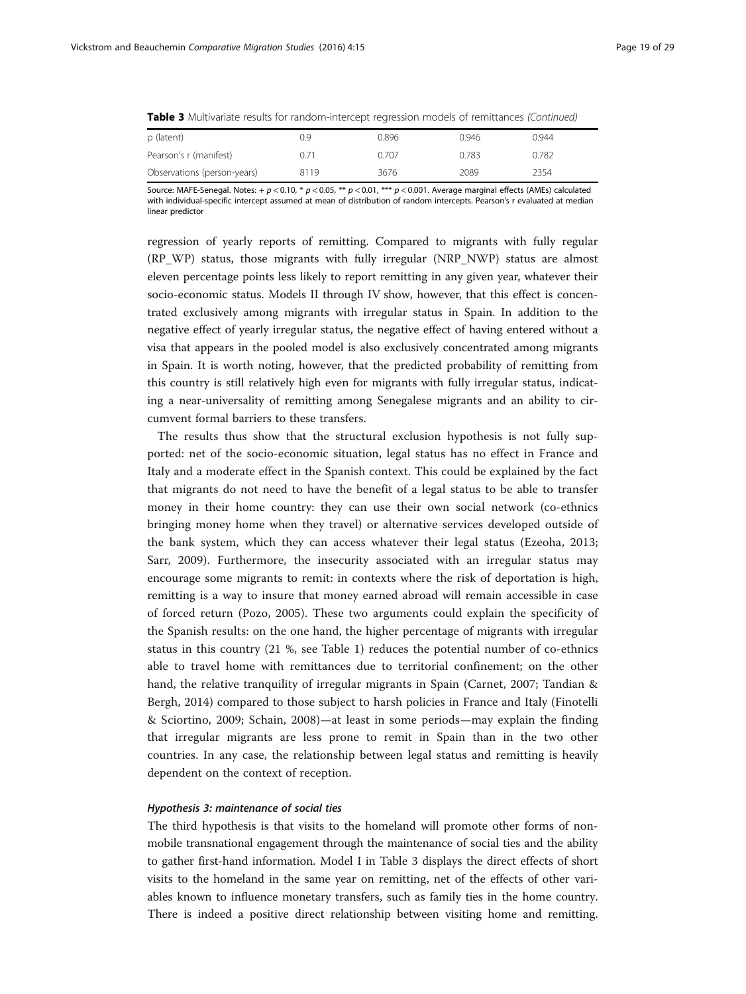|  |  |  |  |  | <b>Table 3</b> Multivariate results for random-intercept regression models of remittances <i>(Continued)</i> |  |  |  |  |  |  |
|--|--|--|--|--|--------------------------------------------------------------------------------------------------------------|--|--|--|--|--|--|
|--|--|--|--|--|--------------------------------------------------------------------------------------------------------------|--|--|--|--|--|--|

| $\rho$ (latent)             | 0.9  | 0.896 | 0.946 | 0.944 |
|-----------------------------|------|-------|-------|-------|
| Pearson's r (manifest)      | 0.71 | 0.707 | 0.783 | 0.782 |
| Observations (person-years) | 8119 | 3676  | 2089  | 2354  |

Source: MAFE-Senegal. Notes: + p < 0.10, \* p < 0.05, \*\* p < 0.01, \*\*\* p < 0.001. Average marginal effects (AMEs) calculated with individual-specific intercept assumed at mean of distribution of random intercepts. Pearson's r evaluated at median linear predictor

regression of yearly reports of remitting. Compared to migrants with fully regular (RP\_WP) status, those migrants with fully irregular (NRP\_NWP) status are almost eleven percentage points less likely to report remitting in any given year, whatever their socio-economic status. Models II through IV show, however, that this effect is concentrated exclusively among migrants with irregular status in Spain. In addition to the negative effect of yearly irregular status, the negative effect of having entered without a visa that appears in the pooled model is also exclusively concentrated among migrants in Spain. It is worth noting, however, that the predicted probability of remitting from this country is still relatively high even for migrants with fully irregular status, indicating a near-universality of remitting among Senegalese migrants and an ability to circumvent formal barriers to these transfers.

The results thus show that the structural exclusion hypothesis is not fully supported: net of the socio-economic situation, legal status has no effect in France and Italy and a moderate effect in the Spanish context. This could be explained by the fact that migrants do not need to have the benefit of a legal status to be able to transfer money in their home country: they can use their own social network (co-ethnics bringing money home when they travel) or alternative services developed outside of the bank system, which they can access whatever their legal status (Ezeoha, [2013](#page-26-0); Sarr, [2009](#page-27-0)). Furthermore, the insecurity associated with an irregular status may encourage some migrants to remit: in contexts where the risk of deportation is high, remitting is a way to insure that money earned abroad will remain accessible in case of forced return (Pozo, [2005](#page-27-0)). These two arguments could explain the specificity of the Spanish results: on the one hand, the higher percentage of migrants with irregular status in this country (21 %, see Table [1\)](#page-12-0) reduces the potential number of co-ethnics able to travel home with remittances due to territorial confinement; on the other hand, the relative tranquility of irregular migrants in Spain (Carnet, [2007;](#page-26-0) Tandian & Bergh, [2014](#page-27-0)) compared to those subject to harsh policies in France and Italy (Finotelli & Sciortino, [2009;](#page-26-0) Schain, [2008\)](#page-27-0)—at least in some periods—may explain the finding that irregular migrants are less prone to remit in Spain than in the two other countries. In any case, the relationship between legal status and remitting is heavily dependent on the context of reception.

### Hypothesis 3: maintenance of social ties

The third hypothesis is that visits to the homeland will promote other forms of nonmobile transnational engagement through the maintenance of social ties and the ability to gather first-hand information. Model I in Table [3](#page-17-0) displays the direct effects of short visits to the homeland in the same year on remitting, net of the effects of other variables known to influence monetary transfers, such as family ties in the home country. There is indeed a positive direct relationship between visiting home and remitting.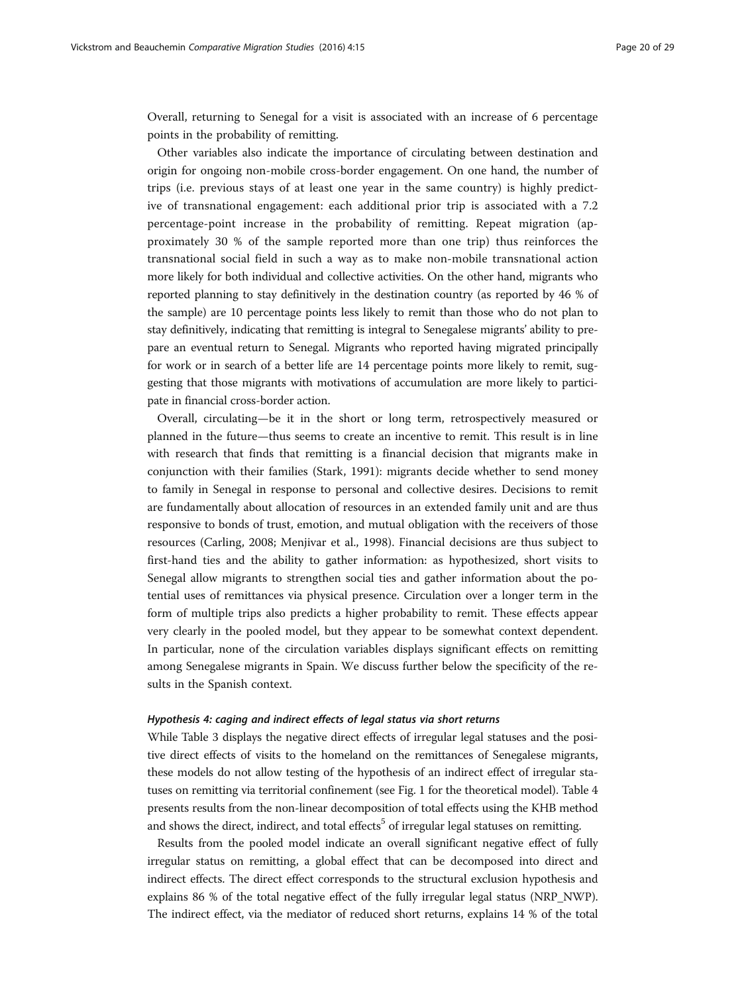Overall, returning to Senegal for a visit is associated with an increase of 6 percentage points in the probability of remitting.

Other variables also indicate the importance of circulating between destination and origin for ongoing non-mobile cross-border engagement. On one hand, the number of trips (i.e. previous stays of at least one year in the same country) is highly predictive of transnational engagement: each additional prior trip is associated with a 7.2 percentage-point increase in the probability of remitting. Repeat migration (approximately 30 % of the sample reported more than one trip) thus reinforces the transnational social field in such a way as to make non-mobile transnational action more likely for both individual and collective activities. On the other hand, migrants who reported planning to stay definitively in the destination country (as reported by 46 % of the sample) are 10 percentage points less likely to remit than those who do not plan to stay definitively, indicating that remitting is integral to Senegalese migrants' ability to prepare an eventual return to Senegal. Migrants who reported having migrated principally for work or in search of a better life are 14 percentage points more likely to remit, suggesting that those migrants with motivations of accumulation are more likely to participate in financial cross-border action.

Overall, circulating—be it in the short or long term, retrospectively measured or planned in the future—thus seems to create an incentive to remit. This result is in line with research that finds that remitting is a financial decision that migrants make in conjunction with their families (Stark, [1991\)](#page-27-0): migrants decide whether to send money to family in Senegal in response to personal and collective desires. Decisions to remit are fundamentally about allocation of resources in an extended family unit and are thus responsive to bonds of trust, emotion, and mutual obligation with the receivers of those resources (Carling, [2008](#page-26-0); Menjivar et al., [1998\)](#page-27-0). Financial decisions are thus subject to first-hand ties and the ability to gather information: as hypothesized, short visits to Senegal allow migrants to strengthen social ties and gather information about the potential uses of remittances via physical presence. Circulation over a longer term in the form of multiple trips also predicts a higher probability to remit. These effects appear very clearly in the pooled model, but they appear to be somewhat context dependent. In particular, none of the circulation variables displays significant effects on remitting among Senegalese migrants in Spain. We discuss further below the specificity of the results in the Spanish context.

## Hypothesis 4: caging and indirect effects of legal status via short returns

While Table [3](#page-17-0) displays the negative direct effects of irregular legal statuses and the positive direct effects of visits to the homeland on the remittances of Senegalese migrants, these models do not allow testing of the hypothesis of an indirect effect of irregular statuses on remitting via territorial confinement (see Fig. [1](#page-7-0) for the theoretical model). Table [4](#page-20-0) presents results from the non-linear decomposition of total effects using the KHB method and shows the direct, indirect, and total effects<sup>5</sup> of irregular legal statuses on remitting.

Results from the pooled model indicate an overall significant negative effect of fully irregular status on remitting, a global effect that can be decomposed into direct and indirect effects. The direct effect corresponds to the structural exclusion hypothesis and explains 86 % of the total negative effect of the fully irregular legal status (NRP\_NWP). The indirect effect, via the mediator of reduced short returns, explains 14 % of the total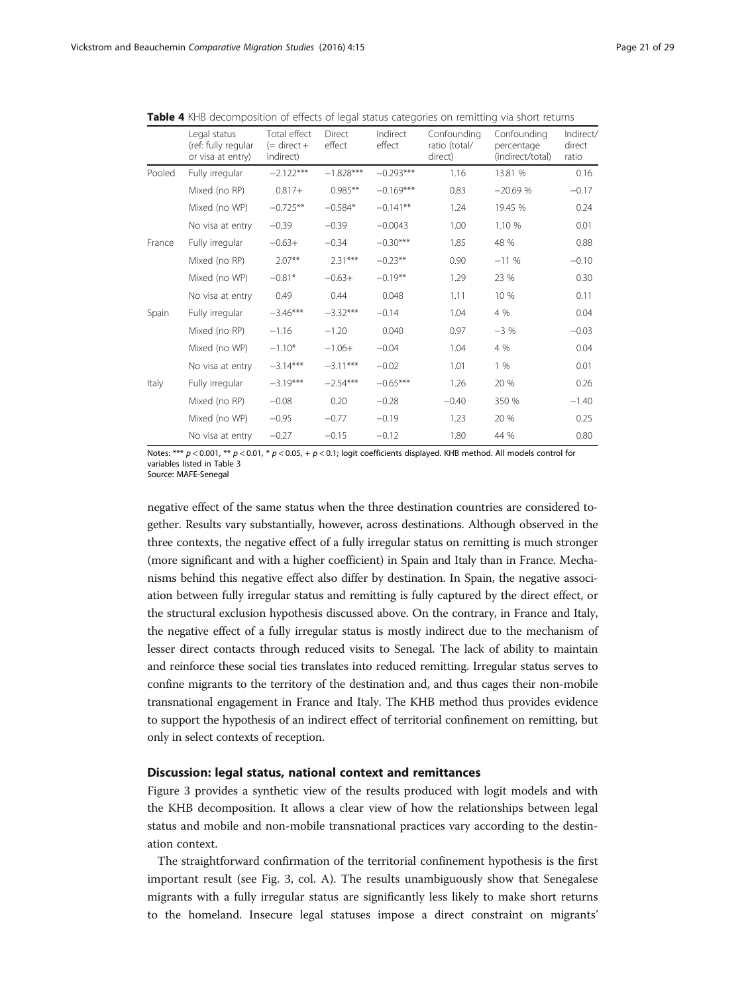|        | Legal status<br>(ref: fully regular<br>or visa at entry) | Total effect<br>$(=$ direct +<br>indirect) | Direct<br>effect | Indirect<br>effect | Confounding<br>ratio (total/<br>direct) | Confounding<br>percentage<br>(indirect/total) | Indirect/<br>direct<br>ratio |
|--------|----------------------------------------------------------|--------------------------------------------|------------------|--------------------|-----------------------------------------|-----------------------------------------------|------------------------------|
| Pooled | Fully irregular                                          | $-2.122***$                                | $-1.828***$      | $-0.293***$        | 1.16                                    | 13.81 %                                       | 0.16                         |
|        | Mixed (no RP)                                            | $0.817 +$                                  | $0.985**$        | $-0.169***$        | 0.83                                    | $-20.69%$                                     | $-0.17$                      |
|        | Mixed (no WP)                                            | $-0.725**$                                 | $-0.584*$        | $-0.141**$         | 1.24                                    | 19.45 %                                       | 0.24                         |
|        | No visa at entry                                         | $-0.39$                                    | $-0.39$          | $-0.0043$          | 1.00                                    | 1.10 %                                        | 0.01                         |
| France | Fully irregular                                          | $-0.63+$                                   | $-0.34$          | $-0.30***$         | 1.85                                    | 48 %                                          | 0.88                         |
|        | Mixed (no RP)                                            | $2.07**$                                   | $2.31***$        | $-0.23**$          | 0.90                                    | $-11%$                                        | $-0.10$                      |
|        | Mixed (no WP)                                            | $-0.81*$                                   | $-0.63+$         | $-0.19**$          | 1.29                                    | 23 %                                          | 0.30                         |
|        | No visa at entry                                         | 0.49                                       | 0.44             | 0.048              | 1.11                                    | 10 %                                          | 0.11                         |
| Spain  | Fully irregular                                          | $-3.46***$                                 | $-3.32***$       | $-0.14$            | 1.04                                    | 4 %                                           | 0.04                         |
|        | Mixed (no RP)                                            | $-1.16$                                    | $-1.20$          | 0.040              | 0.97                                    | $-3\%$                                        | $-0.03$                      |
|        | Mixed (no WP)                                            | $-1.10*$                                   | $-1.06+$         | $-0.04$            | 1.04                                    | 4 %                                           | 0.04                         |
|        | No visa at entry                                         | $-3.14***$                                 | $-3.11***$       | $-0.02$            | 1.01                                    | 1%                                            | 0.01                         |
| Italy  | Fully irregular                                          | $-3.19***$                                 | $-2.54***$       | $-0.65***$         | 1.26                                    | 20 %                                          | 0.26                         |
|        | Mixed (no RP)                                            | $-0.08$                                    | 0.20             | $-0.28$            | $-0.40$                                 | 350 %                                         | $-1.40$                      |
|        | Mixed (no WP)                                            | $-0.95$                                    | $-0.77$          | $-0.19$            | 1.23                                    | 20 %                                          | 0.25                         |
|        | No visa at entry                                         | $-0.27$                                    | $-0.15$          | $-0.12$            | 1.80                                    | 44 %                                          | 0.80                         |

<span id="page-20-0"></span>Table 4 KHB decomposition of effects of legal status categories on remitting via short returns

Notes: \*\*\*  $p$  < 0.001, \*\*  $p$  < 0.01, \*  $p$  < 0.05, +  $p$  < 0.1; logit coefficients displayed. KHB method. All models control for variables listed in Table [3](#page-17-0) Source: MAFE-Senegal

negative effect of the same status when the three destination countries are considered together. Results vary substantially, however, across destinations. Although observed in the three contexts, the negative effect of a fully irregular status on remitting is much stronger (more significant and with a higher coefficient) in Spain and Italy than in France. Mechanisms behind this negative effect also differ by destination. In Spain, the negative association between fully irregular status and remitting is fully captured by the direct effect, or the structural exclusion hypothesis discussed above. On the contrary, in France and Italy, the negative effect of a fully irregular status is mostly indirect due to the mechanism of lesser direct contacts through reduced visits to Senegal. The lack of ability to maintain and reinforce these social ties translates into reduced remitting. Irregular status serves to confine migrants to the territory of the destination and, and thus cages their non-mobile transnational engagement in France and Italy. The KHB method thus provides evidence to support the hypothesis of an indirect effect of territorial confinement on remitting, but only in select contexts of reception.

## Discussion: legal status, national context and remittances

Figure [3](#page-21-0) provides a synthetic view of the results produced with logit models and with the KHB decomposition. It allows a clear view of how the relationships between legal status and mobile and non-mobile transnational practices vary according to the destination context.

The straightforward confirmation of the territorial confinement hypothesis is the first important result (see Fig. [3](#page-21-0), col. A). The results unambiguously show that Senegalese migrants with a fully irregular status are significantly less likely to make short returns to the homeland. Insecure legal statuses impose a direct constraint on migrants'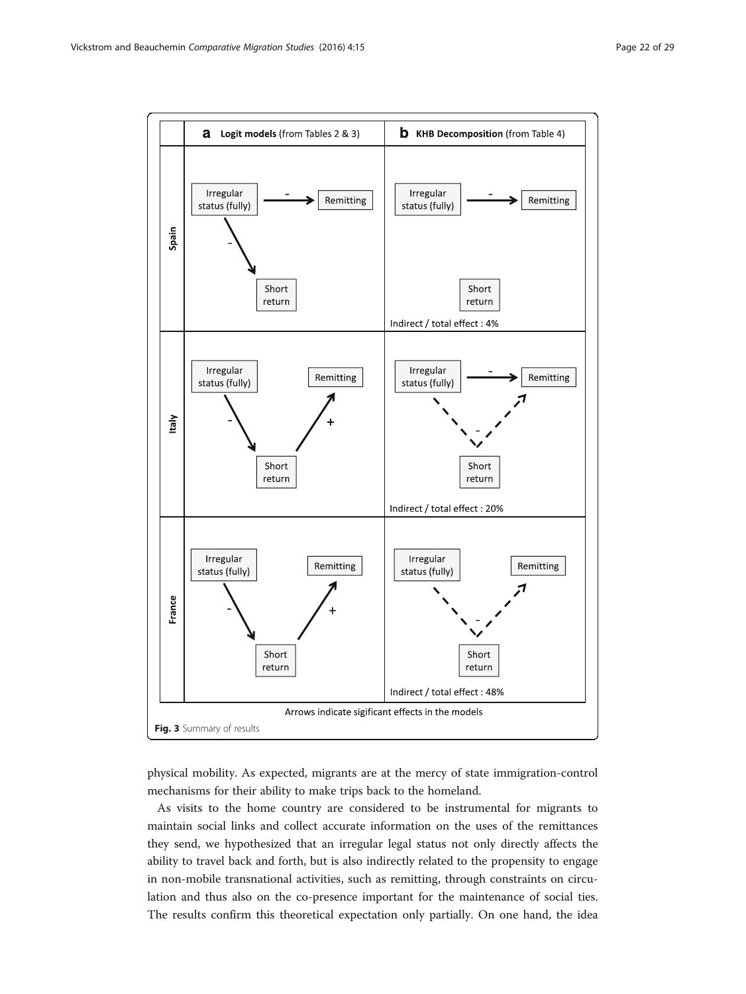<span id="page-21-0"></span>

physical mobility. As expected, migrants are at the mercy of state immigration-control mechanisms for their ability to make trips back to the homeland.

As visits to the home country are considered to be instrumental for migrants to maintain social links and collect accurate information on the uses of the remittances they send, we hypothesized that an irregular legal status not only directly affects the ability to travel back and forth, but is also indirectly related to the propensity to engage in non-mobile transnational activities, such as remitting, through constraints on circulation and thus also on the co-presence important for the maintenance of social ties. The results confirm this theoretical expectation only partially. On one hand, the idea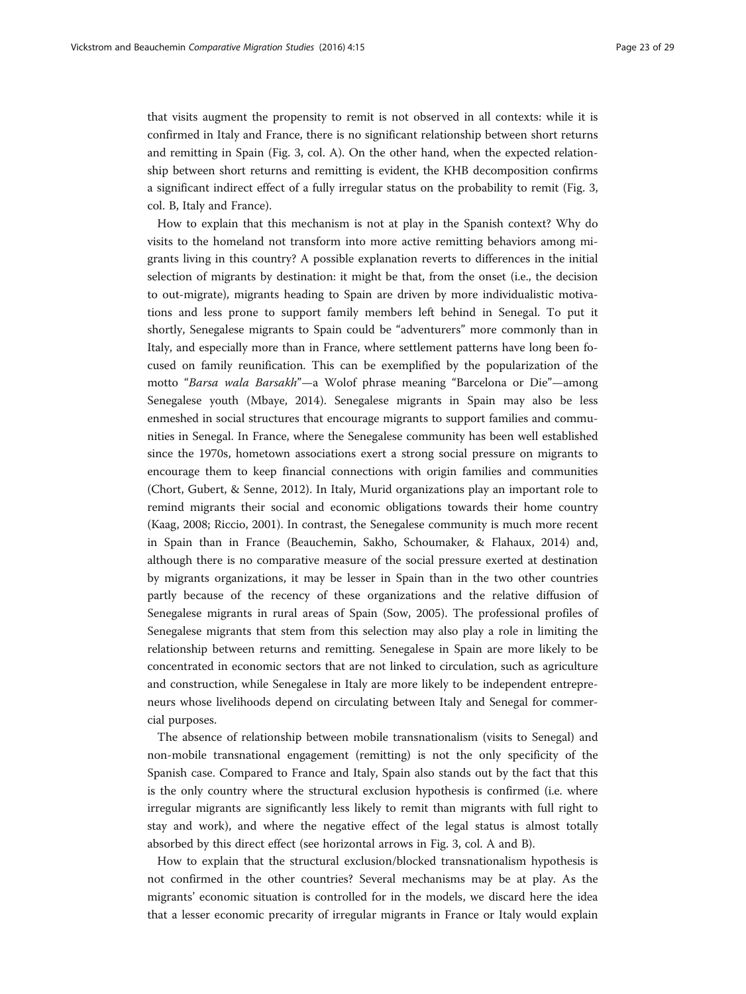that visits augment the propensity to remit is not observed in all contexts: while it is confirmed in Italy and France, there is no significant relationship between short returns and remitting in Spain (Fig. [3](#page-21-0), col. A). On the other hand, when the expected relationship between short returns and remitting is evident, the KHB decomposition confirms a significant indirect effect of a fully irregular status on the probability to remit (Fig. [3](#page-21-0), col. B, Italy and France).

How to explain that this mechanism is not at play in the Spanish context? Why do visits to the homeland not transform into more active remitting behaviors among migrants living in this country? A possible explanation reverts to differences in the initial selection of migrants by destination: it might be that, from the onset (i.e., the decision to out-migrate), migrants heading to Spain are driven by more individualistic motivations and less prone to support family members left behind in Senegal. To put it shortly, Senegalese migrants to Spain could be "adventurers" more commonly than in Italy, and especially more than in France, where settlement patterns have long been focused on family reunification. This can be exemplified by the popularization of the motto "Barsa wala Barsakh"—a Wolof phrase meaning "Barcelona or Die"—among Senegalese youth (Mbaye, [2014\)](#page-27-0). Senegalese migrants in Spain may also be less enmeshed in social structures that encourage migrants to support families and communities in Senegal. In France, where the Senegalese community has been well established since the 1970s, hometown associations exert a strong social pressure on migrants to encourage them to keep financial connections with origin families and communities (Chort, Gubert, & Senne, [2012](#page-26-0)). In Italy, Murid organizations play an important role to remind migrants their social and economic obligations towards their home country (Kaag, [2008;](#page-26-0) Riccio, [2001\)](#page-27-0). In contrast, the Senegalese community is much more recent in Spain than in France (Beauchemin, Sakho, Schoumaker, & Flahaux, [2014\)](#page-26-0) and, although there is no comparative measure of the social pressure exerted at destination by migrants organizations, it may be lesser in Spain than in the two other countries partly because of the recency of these organizations and the relative diffusion of Senegalese migrants in rural areas of Spain (Sow, [2005](#page-27-0)). The professional profiles of Senegalese migrants that stem from this selection may also play a role in limiting the relationship between returns and remitting. Senegalese in Spain are more likely to be concentrated in economic sectors that are not linked to circulation, such as agriculture and construction, while Senegalese in Italy are more likely to be independent entrepreneurs whose livelihoods depend on circulating between Italy and Senegal for commercial purposes.

The absence of relationship between mobile transnationalism (visits to Senegal) and non-mobile transnational engagement (remitting) is not the only specificity of the Spanish case. Compared to France and Italy, Spain also stands out by the fact that this is the only country where the structural exclusion hypothesis is confirmed (i.e. where irregular migrants are significantly less likely to remit than migrants with full right to stay and work), and where the negative effect of the legal status is almost totally absorbed by this direct effect (see horizontal arrows in Fig. [3](#page-21-0), col. A and B).

How to explain that the structural exclusion/blocked transnationalism hypothesis is not confirmed in the other countries? Several mechanisms may be at play. As the migrants' economic situation is controlled for in the models, we discard here the idea that a lesser economic precarity of irregular migrants in France or Italy would explain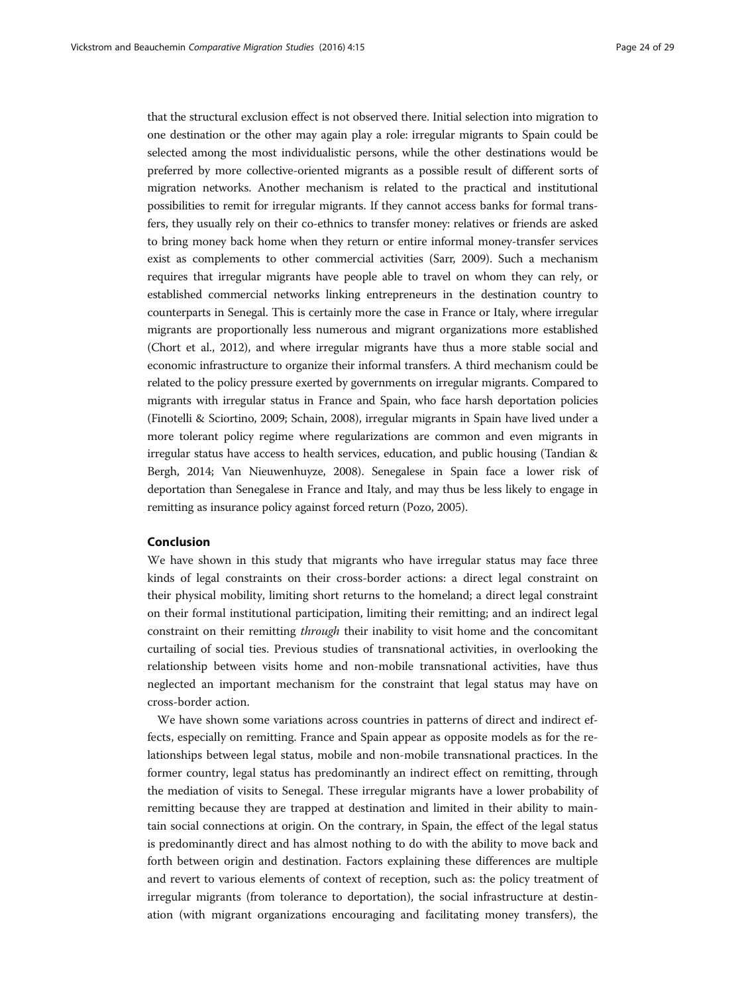that the structural exclusion effect is not observed there. Initial selection into migration to one destination or the other may again play a role: irregular migrants to Spain could be selected among the most individualistic persons, while the other destinations would be preferred by more collective-oriented migrants as a possible result of different sorts of migration networks. Another mechanism is related to the practical and institutional possibilities to remit for irregular migrants. If they cannot access banks for formal transfers, they usually rely on their co-ethnics to transfer money: relatives or friends are asked to bring money back home when they return or entire informal money-transfer services exist as complements to other commercial activities (Sarr, [2009\)](#page-27-0). Such a mechanism requires that irregular migrants have people able to travel on whom they can rely, or established commercial networks linking entrepreneurs in the destination country to counterparts in Senegal. This is certainly more the case in France or Italy, where irregular migrants are proportionally less numerous and migrant organizations more established (Chort et al., [2012\)](#page-26-0), and where irregular migrants have thus a more stable social and economic infrastructure to organize their informal transfers. A third mechanism could be related to the policy pressure exerted by governments on irregular migrants. Compared to migrants with irregular status in France and Spain, who face harsh deportation policies (Finotelli & Sciortino, [2009](#page-26-0); Schain, [2008\)](#page-27-0), irregular migrants in Spain have lived under a more tolerant policy regime where regularizations are common and even migrants in irregular status have access to health services, education, and public housing (Tandian & Bergh, [2014;](#page-27-0) Van Nieuwenhuyze, [2008\)](#page-27-0). Senegalese in Spain face a lower risk of deportation than Senegalese in France and Italy, and may thus be less likely to engage in remitting as insurance policy against forced return (Pozo, [2005](#page-27-0)).

# Conclusion

We have shown in this study that migrants who have irregular status may face three kinds of legal constraints on their cross-border actions: a direct legal constraint on their physical mobility, limiting short returns to the homeland; a direct legal constraint on their formal institutional participation, limiting their remitting; and an indirect legal constraint on their remitting *through* their inability to visit home and the concomitant curtailing of social ties. Previous studies of transnational activities, in overlooking the relationship between visits home and non-mobile transnational activities, have thus neglected an important mechanism for the constraint that legal status may have on cross-border action.

We have shown some variations across countries in patterns of direct and indirect effects, especially on remitting. France and Spain appear as opposite models as for the relationships between legal status, mobile and non-mobile transnational practices. In the former country, legal status has predominantly an indirect effect on remitting, through the mediation of visits to Senegal. These irregular migrants have a lower probability of remitting because they are trapped at destination and limited in their ability to maintain social connections at origin. On the contrary, in Spain, the effect of the legal status is predominantly direct and has almost nothing to do with the ability to move back and forth between origin and destination. Factors explaining these differences are multiple and revert to various elements of context of reception, such as: the policy treatment of irregular migrants (from tolerance to deportation), the social infrastructure at destination (with migrant organizations encouraging and facilitating money transfers), the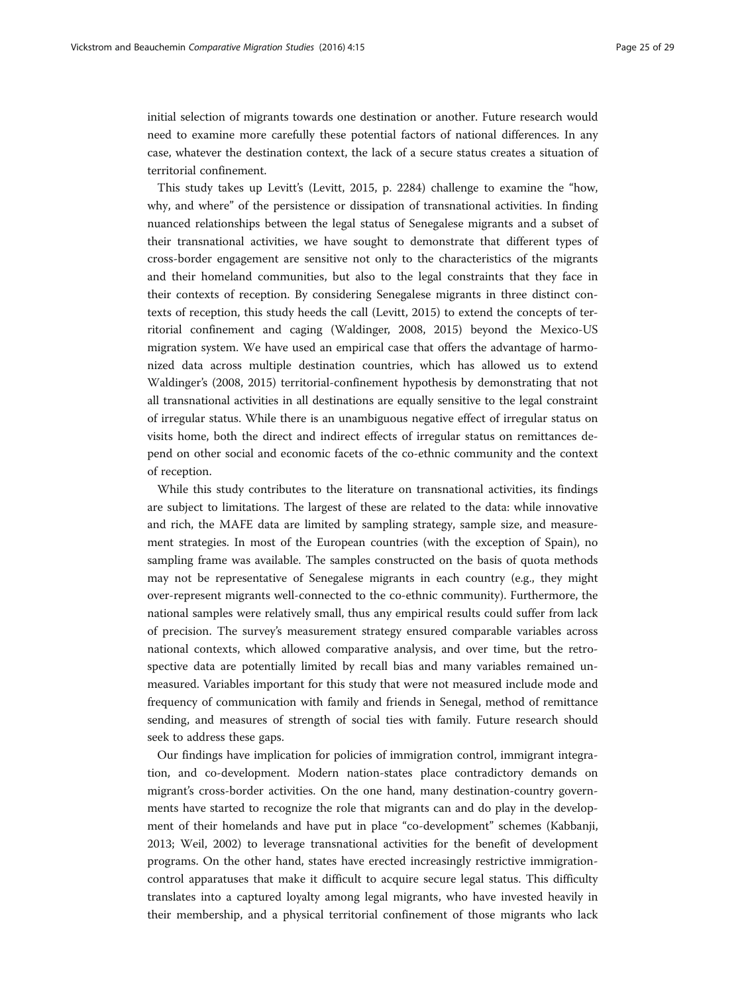initial selection of migrants towards one destination or another. Future research would need to examine more carefully these potential factors of national differences. In any case, whatever the destination context, the lack of a secure status creates a situation of territorial confinement.

This study takes up Levitt's (Levitt, [2015](#page-27-0), p. 2284) challenge to examine the "how, why, and where" of the persistence or dissipation of transnational activities. In finding nuanced relationships between the legal status of Senegalese migrants and a subset of their transnational activities, we have sought to demonstrate that different types of cross-border engagement are sensitive not only to the characteristics of the migrants and their homeland communities, but also to the legal constraints that they face in their contexts of reception. By considering Senegalese migrants in three distinct contexts of reception, this study heeds the call (Levitt, [2015\)](#page-27-0) to extend the concepts of territorial confinement and caging (Waldinger, [2008, 2015](#page-28-0)) beyond the Mexico-US migration system. We have used an empirical case that offers the advantage of harmonized data across multiple destination countries, which has allowed us to extend Waldinger's ([2008](#page-28-0), [2015\)](#page-28-0) territorial-confinement hypothesis by demonstrating that not all transnational activities in all destinations are equally sensitive to the legal constraint of irregular status. While there is an unambiguous negative effect of irregular status on visits home, both the direct and indirect effects of irregular status on remittances depend on other social and economic facets of the co-ethnic community and the context of reception.

While this study contributes to the literature on transnational activities, its findings are subject to limitations. The largest of these are related to the data: while innovative and rich, the MAFE data are limited by sampling strategy, sample size, and measurement strategies. In most of the European countries (with the exception of Spain), no sampling frame was available. The samples constructed on the basis of quota methods may not be representative of Senegalese migrants in each country (e.g., they might over-represent migrants well-connected to the co-ethnic community). Furthermore, the national samples were relatively small, thus any empirical results could suffer from lack of precision. The survey's measurement strategy ensured comparable variables across national contexts, which allowed comparative analysis, and over time, but the retrospective data are potentially limited by recall bias and many variables remained unmeasured. Variables important for this study that were not measured include mode and frequency of communication with family and friends in Senegal, method of remittance sending, and measures of strength of social ties with family. Future research should seek to address these gaps.

Our findings have implication for policies of immigration control, immigrant integration, and co-development. Modern nation-states place contradictory demands on migrant's cross-border activities. On the one hand, many destination-country governments have started to recognize the role that migrants can and do play in the development of their homelands and have put in place "co-development" schemes (Kabbanji, [2013](#page-26-0); Weil, [2002\)](#page-28-0) to leverage transnational activities for the benefit of development programs. On the other hand, states have erected increasingly restrictive immigrationcontrol apparatuses that make it difficult to acquire secure legal status. This difficulty translates into a captured loyalty among legal migrants, who have invested heavily in their membership, and a physical territorial confinement of those migrants who lack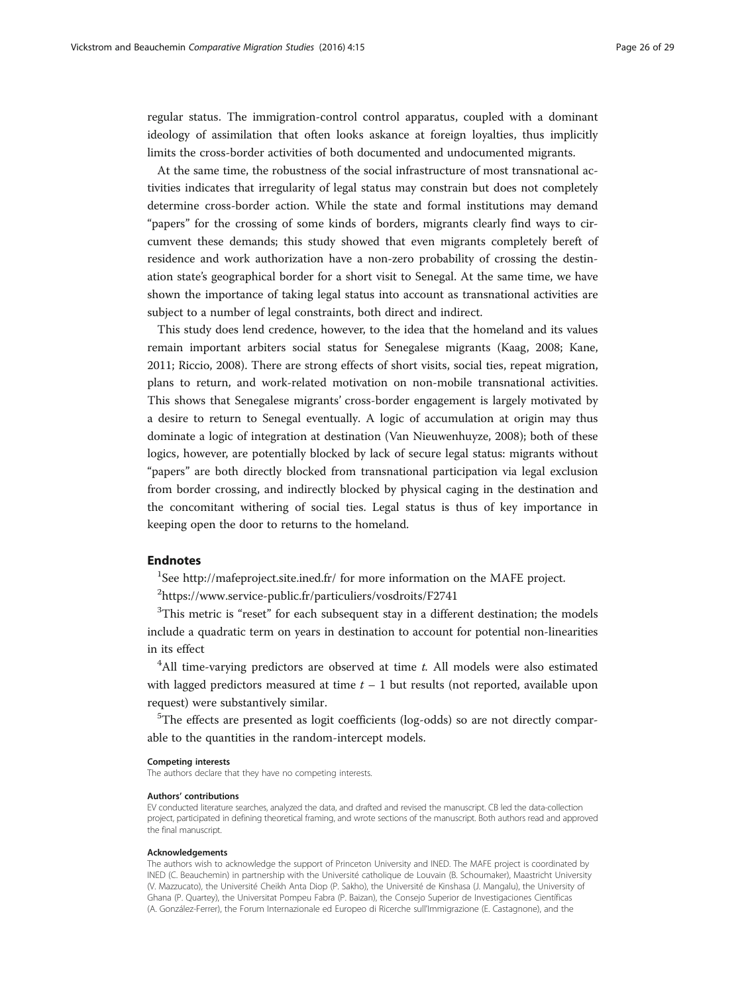regular status. The immigration-control control apparatus, coupled with a dominant ideology of assimilation that often looks askance at foreign loyalties, thus implicitly limits the cross-border activities of both documented and undocumented migrants.

At the same time, the robustness of the social infrastructure of most transnational activities indicates that irregularity of legal status may constrain but does not completely determine cross-border action. While the state and formal institutions may demand "papers" for the crossing of some kinds of borders, migrants clearly find ways to circumvent these demands; this study showed that even migrants completely bereft of residence and work authorization have a non-zero probability of crossing the destination state's geographical border for a short visit to Senegal. At the same time, we have shown the importance of taking legal status into account as transnational activities are subject to a number of legal constraints, both direct and indirect.

This study does lend credence, however, to the idea that the homeland and its values remain important arbiters social status for Senegalese migrants (Kaag, [2008](#page-26-0); Kane, [2011](#page-26-0); Riccio, [2008](#page-27-0)). There are strong effects of short visits, social ties, repeat migration, plans to return, and work-related motivation on non-mobile transnational activities. This shows that Senegalese migrants' cross-border engagement is largely motivated by a desire to return to Senegal eventually. A logic of accumulation at origin may thus dominate a logic of integration at destination (Van Nieuwenhuyze, [2008\)](#page-27-0); both of these logics, however, are potentially blocked by lack of secure legal status: migrants without "papers" are both directly blocked from transnational participation via legal exclusion from border crossing, and indirectly blocked by physical caging in the destination and the concomitant withering of social ties. Legal status is thus of key importance in keeping open the door to returns to the homeland.

## Endnotes

<sup>1</sup>See<http://mafeproject.site.ined.fr/> for more information on the MAFE project.

2 <https://www.service-public.fr/particuliers/vosdroits/F2741>

 $3$ This metric is "reset" for each subsequent stay in a different destination; the models include a quadratic term on years in destination to account for potential non-linearities in its effect

 $4$ All time-varying predictors are observed at time  $t$ . All models were also estimated with lagged predictors measured at time  $t - 1$  but results (not reported, available upon request) were substantively similar.

<sup>5</sup>The effects are presented as logit coefficients (log-odds) so are not directly comparable to the quantities in the random-intercept models.

### Competing interests

The authors declare that they have no competing interests.

#### Authors' contributions

EV conducted literature searches, analyzed the data, and drafted and revised the manuscript. CB led the data-collection project, participated in defining theoretical framing, and wrote sections of the manuscript. Both authors read and approved the final manuscript.

#### Acknowledgements

The authors wish to acknowledge the support of Princeton University and INED. The MAFE project is coordinated by INED (C. Beauchemin) in partnership with the Université catholique de Louvain (B. Schoumaker), Maastricht University (V. Mazzucato), the Université Cheikh Anta Diop (P. Sakho), the Université de Kinshasa (J. Mangalu), the University of Ghana (P. Quartey), the Universitat Pompeu Fabra (P. Baizan), the Consejo Superior de Investigaciones Científicas (A. González-Ferrer), the Forum Internazionale ed Europeo di Ricerche sull'Immigrazione (E. Castagnone), and the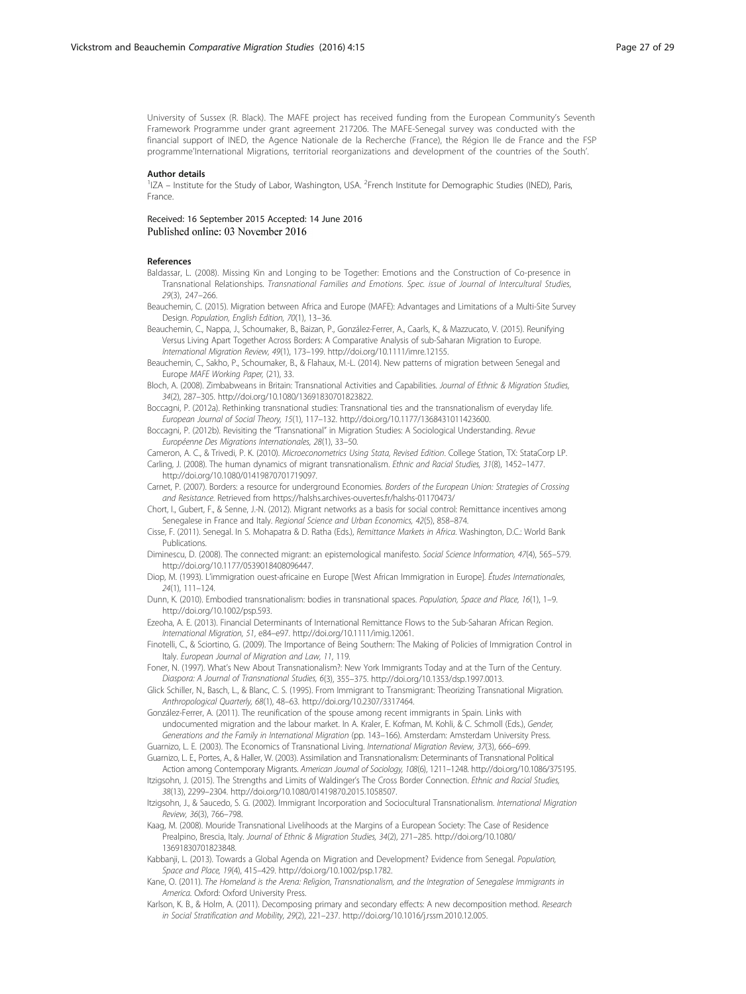<span id="page-26-0"></span>University of Sussex (R. Black). The MAFE project has received funding from the European Community's Seventh Framework Programme under grant agreement 217206. The MAFE-Senegal survey was conducted with the financial support of INED, the Agence Nationale de la Recherche (France), the Région Ile de France and the FSP programme'International Migrations, territorial reorganizations and development of the countries of the South'.

### Author details

<sup>1</sup>IZA - Institute for the Study of Labor, Washington, USA. <sup>2</sup>French Institute for Demographic Studies (INED), Paris, France.

Received: 16 September 2015 Accepted: 14 June 2016 Published online: 03 November 2016

#### References

Baldassar, L. (2008). Missing Kin and Longing to be Together: Emotions and the Construction of Co-presence in Transnational Relationships. Transnational Families and Emotions. Spec. issue of Journal of Intercultural Studies, 29(3), 247–266.

- Beauchemin, C. (2015). Migration between Africa and Europe (MAFE): Advantages and Limitations of a Multi-Site Survey Design. Population, English Edition, 70(1), 13–36.
- Beauchemin, C., Nappa, J., Schoumaker, B., Baizan, P., González-Ferrer, A., Caarls, K., & Mazzucato, V. (2015). Reunifying Versus Living Apart Together Across Borders: A Comparative Analysis of sub-Saharan Migration to Europe. International Migration Review, 49(1), 173–199.<http://doi.org/10.1111/imre.12155>.

Beauchemin, C., Sakho, P., Schoumaker, B., & Flahaux, M.-L. (2014). New patterns of migration between Senegal and Europe MAFE Working Paper, (21), 33.

Bloch, A. (2008). Zimbabweans in Britain: Transnational Activities and Capabilities. Journal of Ethnic & Migration Studies, 34(2), 287–305. [http://doi.org/10.1080/13691830701823822.](http://doi.org/10.1080/13691830701823822)

Boccagni, P. (2012a). Rethinking transnational studies: Transnational ties and the transnationalism of everyday life. European Journal of Social Theory, 15(1), 117–132. [http://doi.org/10.1177/1368431011423600.](http://doi.org/10.1177/1368431011423600)

Boccagni, P. (2012b). Revisiting the "Transnational" in Migration Studies: A Sociological Understanding. Revue Européenne Des Migrations Internationales, 28(1), 33–50.

Cameron, A. C., & Trivedi, P. K. (2010). Microeconometrics Using Stata, Revised Edition. College Station, TX: StataCorp LP. Carling, J. (2008). The human dynamics of migrant transnationalism. Ethnic and Racial Studies, 31(8), 1452–1477. <http://doi.org/10.1080/01419870701719097>.

Carnet, P. (2007). Borders: a resource for underground Economies. Borders of the European Union: Strategies of Crossing and Resistance. Retrieved from<https://halshs.archives-ouvertes.fr/halshs-01170473/>

Chort, I., Gubert, F., & Senne, J.-N. (2012). Migrant networks as a basis for social control: Remittance incentives among Senegalese in France and Italy. Regional Science and Urban Economics, 42(5), 858–874.

Cisse, F. (2011). Senegal. In S. Mohapatra & D. Ratha (Eds.), Remittance Markets in Africa. Washington, D.C.: World Bank Publications.

Diminescu, D. (2008). The connected migrant: an epistemological manifesto. Social Science Information, 47(4), 565–579. [http://doi.org/10.1177/0539018408096447.](http://doi.org/10.1177/0539018408096447)

Diop, M. (1993). L'immigration ouest-africaine en Europe [West African Immigration in Europe]. Études Internationales, 24(1), 111–124.

Dunn, K. (2010). Embodied transnationalism: bodies in transnational spaces. Population, Space and Place, 16(1), 1–9. [http://doi.org/10.1002/psp.593.](http://doi.org/10.1002/psp.593)

Ezeoha, A. E. (2013). Financial Determinants of International Remittance Flows to the Sub-Saharan African Region. International Migration, 51, e84–e97.<http://doi.org/10.1111/imig.12061>.

Finotelli, C., & Sciortino, G. (2009). The Importance of Being Southern: The Making of Policies of Immigration Control in Italy. European Journal of Migration and Law, 11, 119.

Foner, N. (1997). What's New About Transnationalism?: New York Immigrants Today and at the Turn of the Century. Diaspora: A Journal of Transnational Studies, 6(3), 355–375. [http://doi.org/10.1353/dsp.1997.0013.](http://doi.org/10.1353/dsp.1997.0013)

Glick Schiller, N., Basch, L., & Blanc, C. S. (1995). From Immigrant to Transmigrant: Theorizing Transnational Migration. Anthropological Quarterly, 68(1), 48–63. [http://doi.org/10.2307/3317464.](http://doi.org/10.2307/3317464)

González-Ferrer, A. (2011). The reunification of the spouse among recent immigrants in Spain. Links with undocumented migration and the labour market. In A. Kraler, E. Kofman, M. Kohli, & C. Schmoll (Eds.), Gender, Generations and the Family in International Migration (pp. 143–166). Amsterdam: Amsterdam University Press.

Guarnizo, L. E. (2003). The Economics of Transnational Living. International Migration Review, 37(3), 666–699.

Guarnizo, L. E., Portes, A., & Haller, W. (2003). Assimilation and Transnationalism: Determinants of Transnational Political Action among Contemporary Migrants. American Journal of Sociology, 108(6), 1211–1248. [http://doi.org/10.1086/375195.](http://doi.org/10.1086/375195)

Itzigsohn, J. (2015). The Strengths and Limits of Waldinger's The Cross Border Connection. Ethnic and Racial Studies, 38(13), 2299–2304. [http://doi.org/10.1080/01419870.2015.1058507.](http://doi.org/10.1080/01419870.2015.1058507)

Itzigsohn, J., & Saucedo, S. G. (2002). Immigrant Incorporation and Sociocultural Transnationalism. International Migration Review, 36(3), 766–798.

Kaag, M. (2008). Mouride Transnational Livelihoods at the Margins of a European Society: The Case of Residence Prealpino, Brescia, Italy. Journal of Ethnic & Migration Studies, 34(2), 271–285. [http://doi.org/10.1080/](http://doi.org/10.1080/13691830701823848) [13691830701823848.](http://doi.org/10.1080/13691830701823848)

Kabbanji, L. (2013). Towards a Global Agenda on Migration and Development? Evidence from Senegal. Population, Space and Place, 19(4), 415–429.<http://doi.org/10.1002/psp.1782>.

Kane, O. (2011). The Homeland is the Arena: Religion, Transnationalism, and the Integration of Senegalese Immigrants in America. Oxford: Oxford University Press.

Karlson, K. B., & Holm, A. (2011). Decomposing primary and secondary effects: A new decomposition method. Research in Social Stratification and Mobility, 29(2), 221–237.<http://doi.org/10.1016/j.rssm.2010.12.005>.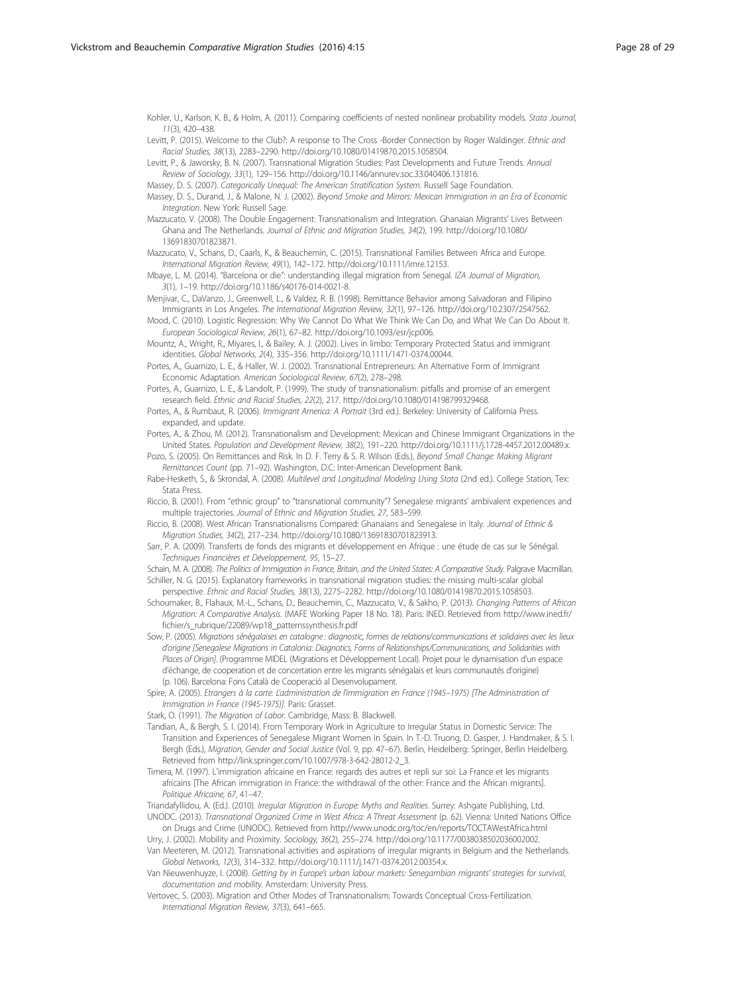<span id="page-27-0"></span>Kohler, U., Karlson, K. B., & Holm, A. (2011). Comparing coefficients of nested nonlinear probability models. Stata Journal, 11(3), 420–438.

Levitt, P. (2015). Welcome to the Club?: A response to The Cross -Border Connection by Roger Waldinger. Ethnic and Racial Studies, 38(13), 2283–2290. [http://doi.org/10.1080/01419870.2015.1058504.](http://doi.org/10.1080/01419870.2015.1058504)

Levitt, P., & Jaworsky, B. N. (2007). Transnational Migration Studies: Past Developments and Future Trends. Annual Review of Sociology, 33(1), 129–156.<http://doi.org/10.1146/annurev.soc.33.040406.131816>.

Massey, D. S. (2007). Categorically Unequal: The American Stratification System. Russell Sage Foundation.

Massey, D. S., Durand, J., & Malone, N. J. (2002). Beyond Smoke and Mirrors: Mexican Immigration in an Era of Economic Integration. New York: Russell Sage.

Mazzucato, V. (2008). The Double Engagement: Transnationalism and Integration. Ghanaian Migrants' Lives Between Ghana and The Netherlands. Journal of Ethnic and Migration Studies, 34(2), 199. [http://doi.org/10.1080/](http://doi.org/10.1080/13691830701823871) [13691830701823871.](http://doi.org/10.1080/13691830701823871)

Mazzucato, V., Schans, D., Caarls, K., & Beauchemin, C. (2015). Transnational Families Between Africa and Europe. International Migration Review, 49(1), 142–172.<http://doi.org/10.1111/imre.12153>.

Mbaye, L. M. (2014). "Barcelona or die": understanding illegal migration from Senegal. IZA Journal of Migration, 3(1), 1–19. http://doi.org/[10.1186/s40176-014-0021-8](http://dx.doi.org/10.1186/s40176-014-0021-8).

Menjivar, C., DaVanzo, J., Greenwell, L., & Valdez, R. B. (1998). Remittance Behavior among Salvadoran and Filipino Immigrants in Los Angeles. The International Migration Review, 32(1), 97–126.<http://doi.org/10.2307/2547562>.

Mood, C. (2010). Logistic Regression: Why We Cannot Do What We Think We Can Do, and What We Can Do About It. European Sociological Review, 26(1), 67–82. http://doi.org[/10.1093/esr/jcp006.](http://dx.doi.org/10.1093/esr/jcp006)

Mountz, A., Wright, R., Miyares, I., & Bailey, A. J. (2002). Lives in limbo: Temporary Protected Status and immigrant identities. Global Networks, 2(4), 335–356. http://doi.org/[10.1111/1471-0374.00044](http://dx.doi.org/10.1111/1471-0374.00044).

Portes, A., Guarnizo, L. E., & Haller, W. J. (2002). Transnational Entrepreneurs: An Alternative Form of Immigrant Economic Adaptation. American Sociological Review, 67(2), 278–298.

Portes, A., Guarnizo, L. E., & Landolt, P. (1999). The study of transnationalism: pitfalls and promise of an emergent research field. Ethnic and Racial Studies, 22(2), 217. http://doi.org/[10.1080/014198799329468.](http://dx.doi.org/10.1080/014198799329468)

Portes, A., & Rumbaut, R. (2006). Immigrant America: A Portrait (3rd ed.). Berkeley: University of California Press. expanded, and update.

Portes, A., & Zhou, M. (2012). Transnationalism and Development: Mexican and Chinese Immigrant Organizations in the United States. Population and Development Review, 38(2), 191–220. http://doi.org/[10.1111/j.1728-4457.2012.00489.x](http://dx.doi.org/10.1111/j.1728-4457.2012.00489.x).

Pozo, S. (2005). On Remittances and Risk. In D. F. Terry & S. R. Wilson (Eds.), Beyond Small Change: Making Migrant Remittances Count (pp. 71–92). Washington, D.C: Inter-American Development Bank.

Rabe-Hesketh, S., & Skrondal, A. (2008). Multilevel and Longitudinal Modeling Using Stata (2nd ed.). College Station, Tex: Stata Press.

Riccio, B. (2001). From "ethnic group" to "transnational community"? Senegalese migrants' ambivalent experiences and multiple trajectories. Journal of Ethnic and Migration Studies, 27, 583–599.

Riccio, B. (2008). West African Transnationalisms Compared: Ghanaians and Senegalese in Italy. Journal of Ethnic & Migration Studies, 34(2), 217–234. http://doi.org/[10.1080/13691830701823913.](http://dx.doi.org/10.1080/13691830701823913)

Sarr, P. A. (2009). Transferts de fonds des migrants et développement en Afrique : une étude de cas sur le Sénégal. Techniques Financières et Développement, 95, 15–27.

Schain, M. A. (2008). The Politics of Immigration in France, Britain, and the United States: A Comparative Study. Palgrave Macmillan. Schiller, N. G. (2015). Explanatory frameworks in transnational migration studies: the missing multi-scalar global

perspective. Ethnic and Racial Studies, 38(13), 2275–2282. http://doi.org[/10.1080/01419870.2015.1058503.](http://dx.doi.org/10.1080/01419870.2015.1058503) Schoumaker, B., Flahaux, M.-L., Schans, D., Beauchemin, C., Mazzucato, V., & Sakho, P. (2013). Changing Patterns of African Migration: A Comparative Analysis. (MAFE Working Paper 18 No. 18). Paris: INED. Retrieved from [http://www.ined.fr/](http://www.ined.fr/fichier/s_rubrique/22089/wp18_patternssynthesis.fr.pdf) [fichier/s\\_rubrique/22089/wp18\\_patternssynthesis.fr.pdf](http://www.ined.fr/fichier/s_rubrique/22089/wp18_patternssynthesis.fr.pdf)

Sow, P. (2005). Migrations sénégalaises en catalogne : diagnostic, formes de relations/communications et solidaires avec les lieux d'origine [Senegalese Migrations in Catalonia: Diagnotics, Forms of Relationships/Communications, and Solidarities with Places of Origin]. (Programme MIDEL (Migrations et Développement Local). Projet pour le dynamisation d'un espace d'échange, de cooperation et de concertation entre les migrants sénégalais et leurs communautés d'origine) (p. 106). Barcelona: Fons Català de Cooperació al Desenvolupament.

Spire, A. (2005). Etrangers à la carte: L'administration de l'immigration en France (1945–1975) [The Administration of Immigration in France (1945-1975)]. Paris: Grasset.

Stark, O. (1991). The Migration of Labor. Cambridge, Mass: B. Blackwell.

Tandian, A., & Bergh, S. I. (2014). From Temporary Work in Agriculture to Irregular Status in Domestic Service: The Transition and Experiences of Senegalese Migrant Women in Spain. In T.-D. Truong, D. Gasper, J. Handmaker, & S. I. Bergh (Eds.), Migration, Gender and Social Justice (Vol. 9, pp. 47–67). Berlin, Heidelberg: Springer, Berlin Heidelberg. Retrieved from http://link.springer.com[/10.1007/978-3-642-28012-2\\_3](http://dx.doi.org/10.1007/978-3-642-28012-2_3).

Timera, M. (1997). L'immigration africaine en France: regards des autres et repli sur soi: La France et les migrants africains [The African immigration in France: the withdrawal of the other: France and the African migrants]. Politique Africaine, 67, 41-47.

Triandafyllidou, A. (Ed.). (2010). Irregular Migration in Europe: Myths and Realities. Surrey: Ashgate Publishing, Ltd. UNODC. (2013). Transnational Organized Crime in West Africa: A Threat Assessment (p. 62). Vienna: United Nations Office

on Drugs and Crime (UNODC). Retrieved from<http://www.unodc.org/toc/en/reports/TOCTAWestAfrica.html>

Urry, J. (2002). Mobility and Proximity. Sociology, 36(2), 255–274. http://doi.org/[10.1177/0038038502036002002](http://dx.doi.org/10.1177/0038038502036002002). Van Meeteren, M. (2012). Transnational activities and aspirations of irregular migrants in Belgium and the Netherlands.

Global Networks, 12(3), 314–332. http://doi.org/[10.1111/j.1471-0374.2012.00354.x](http://dx.doi.org/10.1111/j.1471-0374.2012.00354.x).

Van Nieuwenhuyze, I. (2008). Getting by in Europe's urban labour markets: Senegambian migrants' strategies for survival, documentation and mobility. Amsterdam: University Press.

Vertovec, S. (2003). Migration and Other Modes of Transnationalism: Towards Conceptual Cross-Fertilization. International Migration Review, 37(3), 641–665.